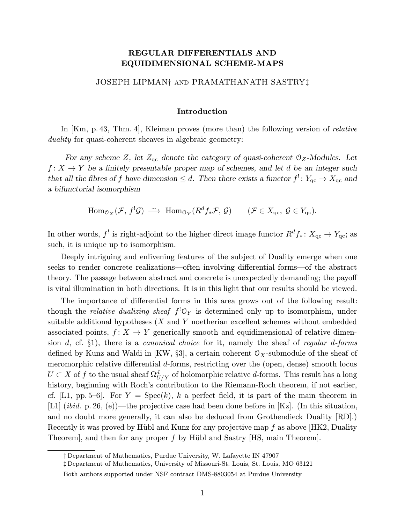# REGULAR DIFFERENTIALS AND EQUIDIMENSIONAL SCHEME-MAPS

## JOSEPH LIPMAN† and PRAMATHANATH SASTRY‡

#### Introduction

In [Km, p. 43, Thm. 4], Kleiman proves (more than) the following version of *relative* duality for quasi-coherent sheaves in algebraic geometry:

For any scheme Z, let  $Z_{\text{qc}}$  denote the category of quasi-coherent  $\mathcal{O}_Z$ -Modules. Let  $f: X \to Y$  be a finitely presentable proper map of schemes, and let d be an integer such that all the fibres of f have dimension  $\leq d$ . Then there exists a functor  $f^!: Y_{\text{qc}} \to X_{\text{qc}}$  and a bifunctorial isomorphism

 $\text{Hom}_{\mathcal{O}_X}(\mathcal{F}, f^!\mathcal{G}) \longrightarrow \text{Hom}_{\mathcal{O}_Y}(R^d f_*\mathcal{F}, \mathcal{G}) \quad (\mathcal{F} \in X_{\text{qc}}, \mathcal{G} \in Y_{\text{qc}}).$ 

In other words,  $f'$  is right-adjoint to the higher direct image functor  $R^d f_* \colon X_{\text{qc}} \to Y_{\text{qc}}$ ; as such, it is unique up to isomorphism.

Deeply intriguing and enlivening features of the subject of Duality emerge when one seeks to render concrete realizations—often involving differential forms—of the abstract theory. The passage between abstract and concrete is unexpectedly demanding; the payoff is vital illumination in both directions. It is in this light that our results should be viewed.

The importance of differential forms in this area grows out of the following result: though the *relative dualizing sheaf*  $f' \mathcal{O}_Y$  is determined only up to isomorphism, under suitable additional hypotheses  $(X \text{ and } Y \text{ noetherian excellent schemes without embedded})$ associated points,  $f: X \to Y$  generically smooth and equidimensional of relative dimension d, cf.  $\S1$ ), there is a *canonical choice* for it, namely the sheaf of *regular d-forms* defined by Kunz and Waldi in [KW,  $\S3$ ], a certain coherent  $\mathcal{O}_X$ -submodule of the sheaf of meromorphic relative differential d-forms, restricting over the (open, dense) smooth locus  $U \subset X$  of  $f$  to the usual sheaf  $\Omega^d_{U/Y}$  of holomorphic relative  $d$ -forms. This result has a long history, beginning with Roch's contribution to the Riemann-Roch theorem, if not earlier, cf. [L1, pp. 5–6]. For  $Y = \text{Spec}(k)$ , k a perfect field, it is part of the main theorem in [L1] (*ibid.* p. 26, (e))—the projective case had been done before in [Kz]. (In this situation, and no doubt more generally, it can also be deduced from Grothendieck Duality [RD].) Recently it was proved by Hübl and Kunz for any projective map  $f$  as above [HK2, Duality Theorem, and then for any proper f by Hübl and Sastry  $[HS, \text{main Theorem}].$ 

<sup>†</sup> Department of Mathematics, Purdue University, W. Lafayette IN 47907

<sup>‡</sup> Department of Mathematics, University of Missouri-St. Louis, St. Louis, MO 63121

Both authors supported under NSF contract DMS-8803054 at Purdue University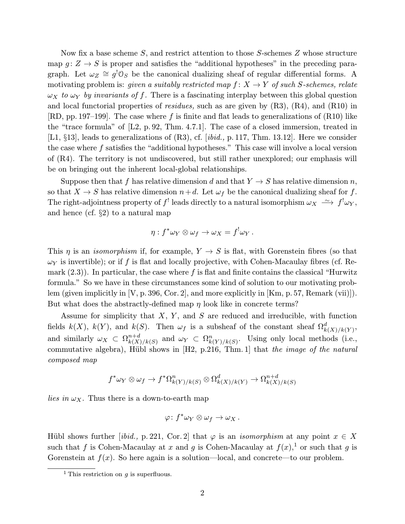Now fix a base scheme S, and restrict attention to those S-schemes Z whose structure map  $g: Z \to S$  is proper and satisfies the "additional hypotheses" in the preceding paragraph. Let  $\omega_Z \cong g^0 \mathcal{O}_S$  be the canonical dualizing sheaf of regular differential forms. A motivating problem is: given a suitably restricted map  $f: X \to Y$  of such S-schemes, relate  $\omega_X$  to  $\omega_Y$  by invariants of f. There is a fascinating interplay between this global question and local functorial properties of *residues*, such as are given by  $(R3)$ ,  $(R4)$ , and  $(R10)$  in [RD, pp. 197–199]. The case where f is finite and flat leads to generalizations of (R10) like the "trace formula" of [L2, p. 92, Thm. 4.7.1]. The case of a closed immersion, treated in [L1, §13], leads to generalizations of (R3), cf. [ibid., p. 117, Thm. 13.12]. Here we consider the case where f satisfies the "additional hypotheses." This case will involve a local version of (R4). The territory is not undiscovered, but still rather unexplored; our emphasis will be on bringing out the inherent local-global relationships.

Suppose then that f has relative dimension d and that  $Y \to S$  has relative dimension n, so that  $X \to S$  has relative dimension  $n+d$ . Let  $\omega_f$  be the canonical dualizing sheaf for f. The right-adjointness property of  $f^!$  leads directly to a natural isomorphism  $\omega_X \nightharpoonup f^! \omega_Y$ , and hence (cf. §2) to a natural map

$$
\eta: f^*\omega_Y \otimes \omega_f \to \omega_X = f^!\omega_Y.
$$

This  $\eta$  is an *isomorphism* if, for example,  $Y \to S$  is flat, with Gorenstein fibres (so that  $\omega_Y$  is invertible); or if f is flat and locally projective, with Cohen-Macaulay fibres (cf. Remark  $(2.3)$ ). In particular, the case where f is flat and finite contains the classical "Hurwitz formula." So we have in these circumstances some kind of solution to our motivating problem (given implicitly in  $|V, p. 396, Cor. 2|$ , and more explicitly in  $|Km, p. 57, Remark (vii)|$ ). But what does the abstractly-defined map  $\eta$  look like in concrete terms?

Assume for simplicity that  $X, Y$ , and  $S$  are reduced and irreducible, with function fields  $k(X)$ ,  $k(Y)$ , and  $k(S)$ . Then  $\omega_f$  is a subsheaf of the constant sheaf  $\Omega_{k(X)/k(Y)}^d$ , and similarly  $\omega_X \subset \Omega^{n+d}_{k(X)/k(S)}$  and  $\omega_Y \subset \Omega^n_{k(Y)/k(S)}$ . Using only local methods (i.e., commutative algebra), Hübl shows in  $[H2, p.216, Thm. 1]$  that the image of the natural composed map

$$
f^*\omega_Y \otimes \omega_f \to f^*\Omega^n_{k(Y)/k(S)} \otimes \Omega^d_{k(X)/k(Y)} \to \Omega^{n+d}_{k(X)/k(S)}
$$

lies in  $\omega_X$ . Thus there is a down-to-earth map

$$
\varphi\colon f^*\omega_Y\otimes \omega_f\to \omega_X\,.
$$

Hübl shows further [ibid., p. 221, Cor. 2] that  $\varphi$  is an *isomorphism* at any point  $x \in X$ such that f is Cohen-Macaulay at x and g is Cohen-Macaulay at  $f(x)$ ,<sup>1</sup> or such that g is Gorenstein at  $f(x)$ . So here again is a solution—local, and concrete—to our problem.

<sup>&</sup>lt;sup>1</sup> This restriction on *a* is superfluous.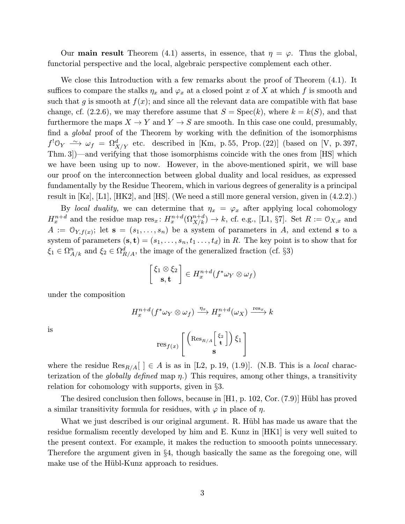Our **main result** Theorem (4.1) asserts, in essence, that  $\eta = \varphi$ . Thus the global, functorial perspective and the local, algebraic perspective complement each other.

We close this Introduction with a few remarks about the proof of Theorem  $(4.1)$ . It suffices to compare the stalks  $\eta_x$  and  $\varphi_x$  at a closed point x of X at which f is smooth and such that g is smooth at  $f(x)$ ; and since all the relevant data are compatible with flat base change, cf.  $(2.2.6)$ , we may therefore assume that  $S = \text{Spec}(k)$ , where  $k = k(S)$ , and that furthermore the maps  $X \to Y$  and  $Y \to S$  are smooth. In this case one could, presumably, find a *global* proof of the Theorem by working with the definition of the isomorphisms  $f^{!} \mathbb{O}_Y \stackrel{\sim}{\longrightarrow} \omega_f = \Omega^d_{X/Y}$  etc. described in [Km, p.55, Prop. (22)] (based on [V, p. 397, Thm. 3])—and verifying that those isomorphisms coincide with the ones from [HS] which we have been using up to now. However, in the above-mentioned spirit, we will base our proof on the interconnection between global duality and local residues, as expressed fundamentally by the Residue Theorem, which in various degrees of generality is a principal result in  $[Kz]$ ,  $[L1]$ ,  $[HK2]$ , and  $[HS]$ . (We need a still more general version, given in  $(4.2.2)$ .)

By local duality, we can determine that  $\eta_x = \varphi_x$  after applying local cohomology  $H_x^{n+d}$  and the residue map  $res_x: H_x^{n+d}(\Omega_{X/k}^{n+d}) \to k$ , cf. e.g., [L1, §7]. Set  $R := \mathcal{O}_{X,x}$  and  $A := \mathcal{O}_{Y, f(x)}$ ; let  $\mathbf{s} = (s_1, \ldots, s_n)$  be a system of parameters in A, and extend s to a system of parameters  $(\mathbf{s}, \mathbf{t})=(s_1,\ldots,s_n, t_1 \ldots, t_d)$  in R. The key point is to show that for  $\xi_1 \in \Omega^n_{A/k}$  and  $\xi_2 \in \Omega^d_{R/A}$ , the image of the generalized fraction (cf. §3)

$$
\begin{bmatrix} \xi_1 \otimes \xi_2 \\ \mathbf{s}, \mathbf{t} \end{bmatrix} \in H_x^{n+d}(f^*\omega_Y \otimes \omega_f)
$$

under the composition

$$
H^{n+d}_x(f^*\omega_Y\otimes \omega_f)\xrightarrow{\eta_x} H^{n+d}_x(\omega_X)\xrightarrow{\text{res}_x} k
$$

is

$$
\text{res}_{f(x)}\left[\left(\text{Res}_{R/A}\left[\frac{\xi_2}{\mathbf{t}}\right]\right)\xi_1\right]
$$

where the residue  $\text{Res}_{R/A}[\ ] \in A$  is as in [L2, p. 19, (1.9)]. (N.B. This is a *local* characterization of the *globally defined* map  $\eta$ .) This requires, among other things, a transitivity relation for cohomology with supports, given in §3.

The desired conclusion then follows, because in  $[H1, p. 102, Cor. (7.9)]$  Hübl has proved a similar transitivity formula for residues, with  $\varphi$  in place of  $\eta$ .

What we just described is our original argument. R. Hübl has made us aware that the residue formalism recently developed by him and E. Kunz in [HK1] is very well suited to the present context. For example, it makes the reduction to smoooth points unnecessary. Therefore the argument given in §4, though basically the same as the foregoing one, will make use of the Hübl-Kunz approach to residues.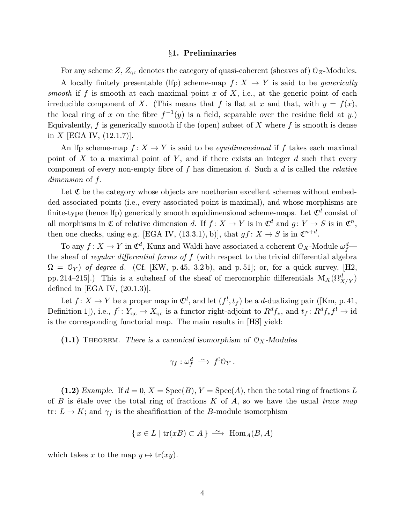#### §1. Preliminaries

For any scheme Z,  $Z_{\text{qc}}$  denotes the category of quasi-coherent (sheaves of)  $\mathcal{O}_Z$ -Modules.

A locally finitely presentable (lfp) scheme-map  $f: X \rightarrow Y$  is said to be *generically* smooth if f is smooth at each maximal point x of X, i.e., at the generic point of each irreducible component of X. (This means that f is flat at x and that, with  $y = f(x)$ , the local ring of x on the fibre  $f^{-1}(y)$  is a field, separable over the residue field at y.) Equivalently,  $f$  is generically smooth if the (open) subset of  $X$  where  $f$  is smooth is dense in  $X$  [EGA IV,  $(12.1.7)$ ].

An lfp scheme-map  $f: X \to Y$  is said to be *equidimensional* if f takes each maximal point of X to a maximal point of Y, and if there exists an integer  $d$  such that every component of every non-empty fibre of f has dimension d. Such a d is called the relative dimension of f.

Let  $\mathfrak C$  be the category whose objects are noetherian excellent schemes without embedded associated points (i.e., every associated point is maximal), and whose morphisms are finite-type (hence lfp) generically smooth equidimensional scheme-maps. Let  $\mathfrak{C}^d$  consist of all morphisms in  $\mathfrak C$  of relative dimension d. If  $f: X \to Y$  is in  $\mathfrak C^d$  and  $g: Y \to S$  is in  $\mathfrak C^n$ , then one checks, using e.g. [EGA IV, (13.3.1), b)], that  $gf: X \to S$  is in  $\mathfrak{C}^{n+d}$ .

To any  $f\colon X\to Y$  in  $\mathfrak{C}^d$ , Kunz and Waldi have associated a coherent  $\mathfrak{O}_X\text{-Module }\omega_f^d$  the sheaf of *regular differential forms of f* (with respect to the trivial differential algebra  $\Omega = \mathcal{O}_Y$ ) of degree d. (Cf. [KW, p. 45, 3.2b), and p. 51]; or, for a quick survey, [H2, pp. 214–215].) This is a subsheaf of the sheaf of meromorphic differentials  $\mathcal{M}_X(\Omega^d_{X/Y})$ defined in [EGA IV,  $(20.1.3)$ ].

Let  $f: X \to Y$  be a proper map in  $\mathfrak{C}^d$ , and let  $(f^!, t_f)$  be a *d*-dualizing pair ([Km, p. 41, Definition 1]), i.e.,  $f' : Y_{qc} \to X_{qc}$  is a functor right-adjoint to  $R^d f_*$ , and  $t_f : R^d f_* f' \to id$ is the corresponding functorial map. The main results in [HS] yield:

(1.1) THEOREM. There is a canonical isomorphism of  $\mathcal{O}_X$ -Modules

$$
\gamma_f: \omega^d_f \, \xrightarrow{\sim} \, f^! \mathbb{O}_Y \, .
$$

(1.2) Example. If  $d = 0$ ,  $X = \text{Spec}(B)$ ,  $Y = \text{Spec}(A)$ , then the total ring of fractions L of B is étale over the total ring of fractions K of A, so we have the usual trace map tr:  $L \to K$ ; and  $\gamma_f$  is the sheafification of the B-module isomorphism

$$
\{x \in L \mid \text{tr}(xB) \subset A\} \stackrel{\sim}{\longrightarrow} \text{Hom}_A(B, A)
$$

which takes x to the map  $y \mapsto \text{tr}(xy)$ .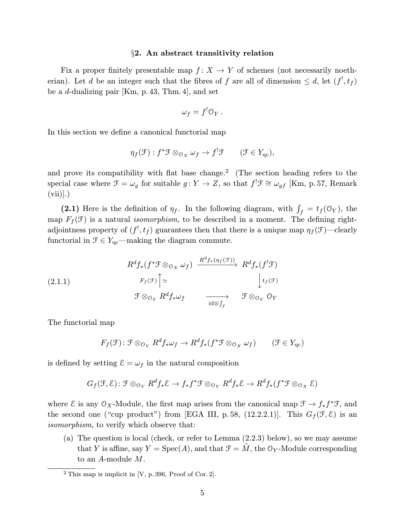## §2. An abstract transitivity relation

Fix a proper finitely presentable map  $f: X \to Y$  of schemes (not necessarily noetherian). Let d be an integer such that the fibres of f are all of dimension  $\leq d$ , let  $(f<sup>1</sup>, t<sub>f</sub>)$ be a d-dualizing pair [Km, p. 43, Thm. 4], and set

$$
\omega_f = f^! \mathcal{O}_Y.
$$

In this section we define a canonical functorial map

$$
\eta_f(\mathcal{F}) : f^* \mathcal{F} \otimes_{\mathcal{O}_X} \omega_f \to f^! \mathcal{F} \qquad (\mathcal{F} \in Y_{\mathrm{qc}}),
$$

and prove its compatibility with flat base change.<sup>2</sup> (The section heading refers to the special case where  $\mathcal{F} = \omega_g$  for suitable  $g \colon Y \to Z$ , so that  $f^! \mathcal{F} \cong \omega_{gf}$  [Km, p. 57, Remark  $(vii)$ ].

(2.1) Here is the definition of  $\eta_f$ . In the following diagram, with  $\int_f = t_f(\mathbb{O}_Y)$ , the map  $F_f(\mathcal{F})$  is a natural *isomorphism*, to be described in a moment. The defining rightadjointness property of  $(f<sup>!</sup>, t<sub>f</sub>)$  guarantees then that there is a unique map  $\eta_f(\mathcal{F})$ —clearly functorial in  $\mathcal{F} \in Y_{\text{qc}}$ —making the diagram commute.

(2.1.1) 
$$
R^{d}f_{*}(f^{*}\mathcal{F} \otimes_{\mathcal{O}_{X}} \omega_{f}) \xrightarrow{R^{d}f_{*}(\eta_{f}(\mathcal{F}))} R^{d}f_{*}(f^{!}\mathcal{F})
$$
  
\n $F_{f}(\mathcal{F}) \uparrow \simeq \qquad \qquad \downarrow t_{f}(\mathcal{F})$   
\n $\mathcal{F} \otimes_{\mathcal{O}_{Y}} R^{d}f_{*}\omega_{f} \xrightarrow{\text{id} \otimes \int_{f}} \mathcal{F} \otimes_{\mathcal{O}_{Y}} \mathcal{O}_{Y}$ 

The functorial map

$$
F_f(\mathcal{F}) : \mathcal{F} \otimes_{\mathcal{O}_Y} R^d f_* \omega_f \to R^d f_* (f^* \mathcal{F} \otimes_{\mathcal{O}_X} \omega_f) \qquad (\mathcal{F} \in Y_{\mathrm{qc}})
$$

is defined by setting  $\mathcal{E} = \omega_f$  in the natural composition

$$
G_f(\mathcal{F}, \mathcal{E}) : \mathcal{F} \otimes_{\mathcal{O}_Y} R^d f_* \mathcal{E} \to f_* f^* \mathcal{F} \otimes_{\mathcal{O}_Y} R^d f_* \mathcal{E} \to R^d f_* (f^* \mathcal{F} \otimes_{\mathcal{O}_X} \mathcal{E})
$$

where E is any  $\mathcal{O}_X$ -Module, the first map arises from the canonical map  $\mathcal{F} \to f_* f^* \mathcal{F}$ , and the second one ("cup product") from [EGA III, p. 58, (12.2.2.1)]. This  $G_f(\mathcal{F}, \mathcal{E})$  is an isomorphism, to verify which observe that:

(a) The question is local (check, or refer to Lemma (2.2.3) below), so we may assume that Y is affine, say  $Y = \text{Spec}(A)$ , and that  $\mathcal{F} = \tilde{M}$ , the  $\mathcal{O}_Y$ -Module corresponding to an A-module M.

 $2$  This map is implicit in [V, p. 396, Proof of Cor. 2].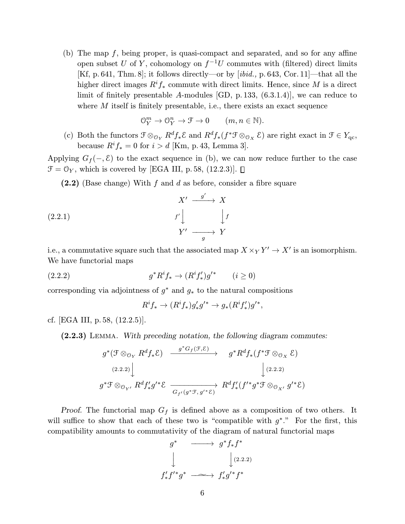(b) The map  $f$ , being proper, is quasi-compact and separated, and so for any affine open subset U of Y, cohomology on  $f^{-1}U$  commutes with (filtered) direct limits [Kf, p. 641, Thm.8]; it follows directly—or by [ibid., p. 643, Cor.11]—that all the higher direct images  $R^if_*$  commute with direct limits. Hence, since M is a direct limit of finitely presentable A-modules [GD, p. 133, (6.3.1.4)], we can reduce to where  $M$  itself is finitely presentable, i.e., there exists an exact sequence

$$
\mathcal{O}_{Y}^{m} \to \mathcal{O}_{Y}^{n} \to \mathcal{F} \to 0 \qquad (m, n \in \mathbb{N}).
$$

(c) Both the functors  $\mathcal{F} \otimes_{\mathcal{O}_Y} R^d f_* \mathcal{E}$  and  $R^d f_*(f^* \mathcal{F} \otimes_{\mathcal{O}_X} \mathcal{E})$  are right exact in  $\mathcal{F} \in Y_{\text{qc}}$ , because  $R^if_* = 0$  for  $i > d$  [Km, p. 43, Lemma 3].

Applying  $G_f(-, \mathcal{E})$  to the exact sequence in (b), we can now reduce further to the case  $\mathcal{F} = \mathcal{O}_Y$ , which is covered by [EGA III, p. 58, (12.2.3)].  $\Box$ 

 $(2.2)$  (Base change) With f and d as before, consider a fibre square

$$
X' \xrightarrow{g'} X
$$
  
(2.2.1)  

$$
f' \downarrow \qquad \qquad \downarrow f
$$
  

$$
Y' \xrightarrow{g} Y
$$

i.e., a commutative square such that the associated map  $X \times_Y Y' \to X'$  is an isomorphism. We have functorial maps

(2.2.2) 
$$
g^* R^i f_* \to (R^i f'_*) g'^* \qquad (i \ge 0)
$$

corresponding via adjointness of  $g^*$  and  $g_*$  to the natural compositions

$$
R^if_* \to (R^if_*)g'_*g'^* \to g_*(R^if'_*)g'^*,
$$

cf. [EGA III, p.58, (12.2.5)].

(2.2.3) Lemma. With preceding notation, the following diagram commutes:

$$
g^*(\mathcal{F} \otimes_{\mathcal{O}_Y} R^d f_* \mathcal{E}) \xrightarrow{g^* G_f(\mathcal{F}, \mathcal{E})} g^* R^d f_*(f^* \mathcal{F} \otimes_{\mathcal{O}_X} \mathcal{E})
$$
  
\n(2.2.2)  
\n
$$
g^* \mathcal{F} \otimes_{\mathcal{O}_{Y'}} R^d f'_* g'^* \mathcal{E} \xrightarrow[G_{f'}(g^* \mathcal{F}, g'^* \mathcal{E})] R^d f'_* (f'^* g^* \mathcal{F} \otimes_{\mathcal{O}_{X'}} g'^* \mathcal{E})
$$

Proof. The functorial map  $G_f$  is defined above as a composition of two others. It will suffice to show that each of these two is "compatible with  $g^*$ ." For the first, this compatibility amounts to commutativity of the diagram of natural functorial maps

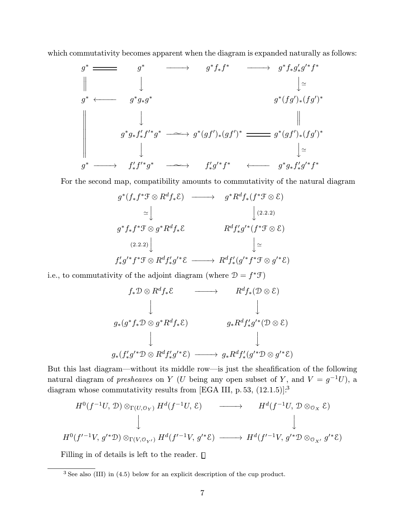which commutativity becomes apparent when the diagram is expanded naturally as follows:

$$
g^* \longrightarrow g^* f_* f^* \longrightarrow g^* f_* g'_* g'^* f^*
$$
\n
$$
\parallel \qquad \qquad \downarrow
$$
\n
$$
g^* \longleftarrow g^* g_* g^*
$$
\n
$$
g^* (fg')_* (fg')^*
$$
\n
$$
\parallel \qquad \qquad \downarrow
$$
\n
$$
g^* g_* f'_* f'^* g^* \longrightarrow g^* (gf')_* (gf')^* \longrightarrow g^* (gf')_* (fg')^*
$$
\n
$$
\downarrow \qquad \qquad \downarrow
$$
\n
$$
g^* \longrightarrow f'_* f'^* g^* \longrightarrow f'_* g'^* f^* \longleftarrow g^* g_* f'_* g'^* f^*
$$

For the second map, compatibility amounts to commutativity of the natural diagram

$$
g^*(f_*f^*\mathcal{F}\otimes R^df_*\mathcal{E}) \longrightarrow g^*R^df_*(f^*\mathcal{F}\otimes \mathcal{E})
$$
  
\n
$$
\simeq \bigcup_{(2.2.2)}
$$
  
\n
$$
g^*f_*f^*\mathcal{F}\otimes g^*R^df_*\mathcal{E} \longrightarrow R^df'_*g'^*(f^*\mathcal{F}\otimes \mathcal{E})
$$
  
\n
$$
\xrightarrow{(2.2.2)}
$$
  
\n
$$
\bigcup_{\mathbf{F}'}
$$
  
\n
$$
f'_*g'^*f^*\mathcal{F}\otimes R^df'_*g'^*\mathcal{E} \longrightarrow R^df'_*(g'^*f^*\mathcal{F}\otimes g'^*\mathcal{E})
$$

i.e., to commutativity of the adjoint diagram (where  $\mathcal{D} = f^* \mathcal{F})$ 

$$
f_* \mathcal{D} \otimes R^d f_* \mathcal{E} \longrightarrow R^d f_* (\mathcal{D} \otimes \mathcal{E})
$$
  
\n
$$
\downarrow \qquad \qquad \downarrow
$$
  
\n
$$
g_*(g^* f_* \mathcal{D} \otimes g^* R^d f_* \mathcal{E}) \qquad \qquad g_* R^d f'_* g'^* (\mathcal{D} \otimes \mathcal{E})
$$
  
\n
$$
\downarrow \qquad \qquad \downarrow
$$
  
\n
$$
g_*(f'_* g'^* \mathcal{D} \otimes R^d f'_* g'^* \mathcal{E}) \longrightarrow g_* R^d f'_* (g'^* \mathcal{D} \otimes g'^* \mathcal{E})
$$

But this last diagram—without its middle row—is just the sheafification of the following natural diagram of *presheaves* on Y (U being any open subset of Y, and  $V = g^{-1}U$ ), a diagram whose commutativity results from [EGA III, p. 53,  $(12.1.5)$ ]:<sup>3</sup>

$$
H^{0}(f^{-1}U, \mathcal{D}) \otimes_{\Gamma(U, \mathcal{O}_{Y})} H^{d}(f^{-1}U, \mathcal{E}) \longrightarrow H^{d}(f^{-1}U, \mathcal{D} \otimes_{\mathcal{O}_{X}} \mathcal{E})
$$
  
\n
$$
\downarrow \qquad \qquad \downarrow
$$
  
\n
$$
H^{0}(f'^{-1}V, g'^{*}\mathcal{D}) \otimes_{\Gamma(V, \mathcal{O}_{Y'})} H^{d}(f'^{-1}V, g'^{*}\mathcal{E}) \longrightarrow H^{d}(f'^{-1}V, g'^{*}\mathcal{D} \otimes_{\mathcal{O}_{X'}} g'^{*}\mathcal{E})
$$

Filling in of details is left to the reader.  $\Box$ 

 $\overline{3}$  See also (III) in (4.5) below for an explicit description of the cup product.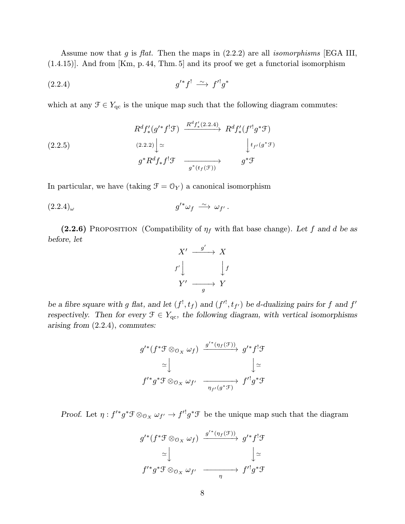Assume now that g is flat. Then the maps in  $(2.2.2)$  are all *isomorphisms* [EGA III, (1.4.15)]. And from [Km, p. 44, Thm. 5] and its proof we get a functorial isomorphism

$$
(2.2.4) \t\t\t g'^*f' \xrightarrow{\sim} f'^!g^*
$$

which at any  $\mathcal{F} \in Y_{\text{qc}}$  is the unique map such that the following diagram commutes:

$$
(2.2.5)
$$
\n
$$
R^{d}f'_{*}(g'^{*}f^{!}\mathcal{F}) \xrightarrow{R^{d}f'_{*}(2.2.4)} R^{d}f'_{*}(f'^{!}g^{*}\mathcal{F})
$$
\n
$$
(2.2.5)
$$
\n
$$
g^{*}R^{d}f_{*}f^{!}\mathcal{F} \xrightarrow{g^{*}(t_{f}(\mathcal{F}))} g^{*}\mathcal{F}
$$

In particular, we have (taking  $\mathcal{F} = \mathcal{O}_Y)$  a canonical isomorphism

$$
(2.2.4)_{\omega} \t\t g'^* \omega_f \xrightarrow{\sim} \omega_{f'}.
$$

(2.2.6) PROPOSITION (Compatibility of  $\eta_f$  with flat base change). Let f and d be as before, let



be a fibre square with g flat, and let  $(f^!, t_f)$  and  $(f'^!, t_{f'})$  be d-dualizing pairs for f and f' respectively. Then for every  $\mathcal{F} \in Y_{qc}$ , the following diagram, with vertical isomorphisms arising from (2.2.4), commutes:

$$
g'^{*}(f^{*}\mathcal{F} \otimes_{\mathcal{O}_{X}} \omega_{f}) \xrightarrow{g'^{*}(\eta_{f}(\mathcal{F}))} g'^{*}f^{!}\mathcal{F}
$$

$$
\simeq \downarrow \qquad \qquad \downarrow \simeq
$$

$$
f'^{*}g^{*}\mathcal{F} \otimes_{\mathcal{O}_{X}} \omega_{f'} \xrightarrow{\eta_{f'}(g^{*}\mathcal{F})} f'^{!}g^{*}\mathcal{F}
$$

Proof. Let  $\eta: f' * g * \mathcal{F} \otimes_{\mathcal{O}_X} \omega_{f'} \to f' \mathcal{G} * \mathcal{F}$  be the unique map such that the diagram

$$
g'^{*}(f^{*}\mathcal{F} \otimes_{\mathcal{O}_{X}} \omega_{f}) \xrightarrow{g'^{*}(\eta_{f}(\mathcal{F}))} g'^{*}f^{!}\mathcal{F}
$$

$$
\simeq \bigcup_{f'^{*}g^{*}\mathcal{F} \otimes_{\mathcal{O}_{X}} \omega_{f'}} \xrightarrow{\qquad \qquad \eta \qquad \qquad } f'^{!}g^{*}\mathcal{F}
$$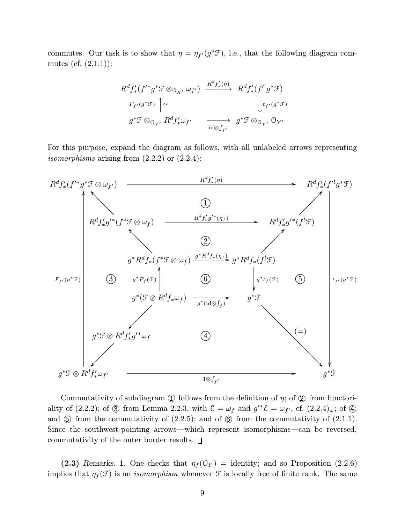commutes. Our task is to show that  $\eta = \eta_{f'}(g^*\mathcal{F})$ , i.e., that the following diagram commutes (cf.  $(2.1.1)$ ):

$$
R^{d}f'_{*}(f'^{*}g^{*}\mathcal{F}\otimes_{\mathcal{O}_{X'}}\omega_{f'})\xrightarrow{R^{d}f'_{*}(\eta)} R^{d}f'_{*}(f'^{!}g^{*}\mathcal{F})
$$
  
\n
$$
F_{f'}(g^{*}\mathcal{F})\uparrow \simeq \qquad \qquad \downarrow t_{f'}(g^{*}\mathcal{F})
$$
  
\n
$$
g^{*}\mathcal{F}\otimes_{\mathcal{O}_{Y'}}R^{d}f'_{*}\omega_{f'} \qquad \qquad \longrightarrow \qquad g^{*}\mathcal{F}\otimes_{\mathcal{O}_{Y'}}\mathcal{O}_{Y'}
$$

For this purpose, expand the diagram as follows, with all unlabeled arrows representing isomorphisms arising from  $(2.2.2)$  or  $(2.2.4)$ :



Commutativity of subdiagram (1) follows from the definition of  $\eta$ ; of (2) from functoriality of (2.2.2); of  $\circled{3}$  from Lemma 2.2.3, with  $\mathcal{E} = \omega_f$  and  $g'^* \mathcal{E} = \omega_{f'}$ , cf.  $(2.2.4)_{\omega}$ ; of  $\circled{4}$ and  $\circledS$  from the commutativity of  $(2.2.5)$ ; and of  $\circledS$  from the commutativity of  $(2.1.1)$ . Since the southwest-pointing arrows—which represent isomorphisms—can be reversed, commutativity of the outer border results.

(2.3) Remarks. 1. One checks that  $\eta_f(\mathcal{O}_Y) =$  identity; and so Proposition (2.2.6) implies that  $\eta_f(\mathcal{F})$  is an *isomorphism* whenever  $\mathcal F$  is locally free of finite rank. The same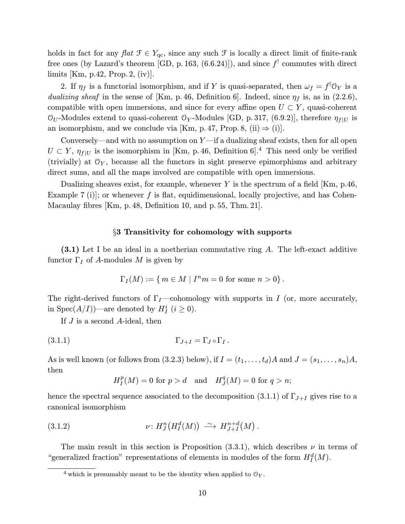holds in fact for any  $flat \mathcal{F} \in Y_{qc}$ , since any such  $\mathcal{F}$  is locally a direct limit of finite-rank free ones (by Lazard's theorem [GD, p. 163,  $(6.6.24)$ ]), and since  $f'$  commutes with direct limits [Km, p.42, Prop.2, (iv)].

2. If  $\eta_f$  is a functorial isomorphism, and if Y is quasi-separated, then  $\omega_f = f^! \mathcal{O}_Y$  is a dualizing sheaf in the sense of [Km, p. 46, Definition 6]. Indeed, since  $\eta_f$  is, as in (2.2.6), compatible with open immersions, and since for every affine open  $U \subset Y$ , quasi-coherent  $\mathcal{O}_U$ -Modules extend to quasi-coherent  $\mathcal{O}_Y$ -Modules [GD, p. 317, (6.9.2)], therefore  $\eta_{f|U}$  is an isomorphism, and we conclude via [Km, p. 47, Prop. 8, (ii)  $\Rightarrow$  (i)].

Conversely—and with no assumption on  $Y$ —if a dualizing sheaf exists, then for all open  $U \subset Y$ ,  $\eta_{f|U}$  is the isomorphism in [Km, p. 46, Definition 6].<sup>4</sup> This need only be verified (trivially) at  $\mathcal{O}_Y$ , because all the functors in sight preserve epimorphisms and arbitrary direct sums, and all the maps involved are compatible with open immersions.

Dualizing sheaves exist, for example, whenever Y is the spectrum of a field  $[Km, p.46]$ , Example 7 (i)]; or whenever f is flat, equidimensional, locally projective, and has Cohen-Macaulay fibres [Km, p.48, Definition 10, and p. 55, Thm. 21].

## §3 Transitivity for cohomology with supports

(3.1) Let I be an ideal in a noetherian commutative ring A. The left-exact additive functor  $\Gamma_I$  of A-modules M is given by

$$
\Gamma_I(M) := \{ m \in M \mid I^n m = 0 \text{ for some } n > 0 \}.
$$

The right-derived functors of  $\Gamma_I$ —cohomology with supports in I (or, more accurately, in Spec $(A/I)$ )—are denoted by  $H_I^i$   $(i \geq 0)$ .

If J is a second A-ideal, then

$$
\Gamma_{J+I} = \Gamma_J \circ \Gamma_I \, .
$$

As is well known (or follows from (3.2.3) below), if  $I = (t_1, \ldots, t_d)A$  and  $J = (s_1, \ldots, s_n)A$ , then

$$
H_I^p(M) = 0
$$
 for  $p > d$  and  $H_J^q(M) = 0$  for  $q > n$ ;

hence the spectral sequence associated to the decomposition (3.1.1) of  $\Gamma_{J+I}$  gives rise to a canonical isomorphism

(3.1.2) 
$$
\nu: H_J^n\big(H_I^d(M)\big) \stackrel{\sim}{\longrightarrow} H_{J+I}^{n+d}(M).
$$

The main result in this section is Proposition  $(3.3.1)$ , which describes  $\nu$  in terms of "generalized fraction" representations of elements in modules of the form  $H_I^d(M)$ .

<sup>&</sup>lt;sup>4</sup> which is presumably meant to be the identity when applied to  $\mathcal{O}_Y$ .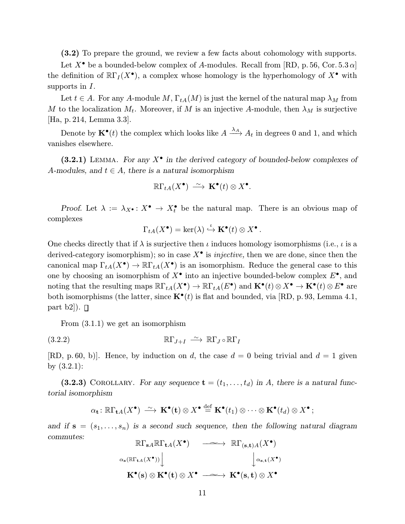(3.2) To prepare the ground, we review a few facts about cohomology with supports.

Let  $X^{\bullet}$  be a bounded-below complex of A-modules. Recall from [RD, p. 56, Cor. 5.3  $\alpha$ ] the definition of  $\mathbb{R}\Gamma_I(X^{\bullet})$ , a complex whose homology is the hyperhomology of  $X^{\bullet}$  with supports in  $I$ .

Let  $t \in A$ . For any A-module M,  $\Gamma_{tA}(M)$  is just the kernel of the natural map  $\lambda_M$  from M to the localization  $M_t$ . Moreover, if M is an injective A-module, then  $\lambda_M$  is surjective [Ha, p. 214, Lemma 3.3].

Denote by  $\mathbf{K}^{\bullet}(t)$  the complex which looks like  $A \xrightarrow{\lambda_A} A_t$  in degrees 0 and 1, and which vanishes elsewhere.

(3.2.1) LEMMA. For any  $X^{\bullet}$  in the derived category of bounded-below complexes of A-modules, and  $t \in A$ , there is a natural isomorphism

$$
\R\Gamma_{tA}(X^\bullet) \,\stackrel{\sim}{\longrightarrow}\, {\bf K}^\bullet(t)\otimes X^\bullet.
$$

Proof. Let  $\lambda := \lambda_{X} \bullet : X^{\bullet} \to X_t^{\bullet}$  be the natural map. There is an obvious map of complexes

$$
\Gamma_{tA}(X^{\bullet}) = \ker(\lambda) \stackrel{\iota}{\hookrightarrow} \mathbf{K}^{\bullet}(t) \otimes X^{\bullet}.
$$

One checks directly that if  $\lambda$  is surjective then  $\iota$  induces homology isomorphisms (i.e.,  $\iota$  is a derived-category isomorphism); so in case  $X^{\bullet}$  is *injective*, then we are done, since then the canonical map  $\Gamma_{tA}(X^{\bullet}) \to \mathbb{R}\Gamma_{tA}(X^{\bullet})$  is an isomorphism. Reduce the general case to this one by choosing an isomorphism of  $X^{\bullet}$  into an injective bounded-below complex  $E^{\bullet}$ , and noting that the resulting maps  $\mathbb{R}\Gamma_{tA}(X^{\bullet}) \to \mathbb{R}\Gamma_{tA}(E^{\bullet})$  and  $\mathbf{K}^{\bullet}(t) \otimes X^{\bullet} \to \mathbf{K}^{\bullet}(t) \otimes E^{\bullet}$  are both isomorphisms (the latter, since  $\mathbf{K}^{\bullet}(t)$  is flat and bounded, via [RD, p. 93, Lemma 4.1, part b2]).  $\Box$ 

From (3.1.1) we get an isomorphism

$$
\mathbb{R}\Gamma_{J+I} \stackrel{\sim}{\longrightarrow} \mathbb{R}\Gamma_J \circ \mathbb{R}\Gamma_I
$$

[RD, p. 60, b)]. Hence, by induction on d, the case  $d = 0$  being trivial and  $d = 1$  given by (3.2.1):

(3.2.3) COROLLARY. For any sequence  $\mathbf{t} = (t_1, \ldots, t_d)$  in A, there is a natural functorial isomorphism

$$
\alpha_{\mathbf{t}}\colon \mathbb{R}\Gamma_{\mathbf{t}A}(X^{\bullet})\longrightarrow \mathbf{K}^{\bullet}(\mathbf{t})\otimes X^{\bullet}\stackrel{\text{def}}{=} \mathbf{K}^{\bullet}(t_1)\otimes\cdots\otimes \mathbf{K}^{\bullet}(t_d)\otimes X^{\bullet};
$$

and if  $s = (s_1, \ldots, s_n)$  is a second such sequence, then the following natural diagram commutes:

$$
\mathbb{R}\Gamma_{\mathbf{s}A}\mathbb{R}\Gamma_{\mathbf{t}A}(X^{\bullet}) \longrightarrow \mathbb{R}\Gamma_{(\mathbf{s},\mathbf{t})A}(X^{\bullet})
$$
  

$$
\alpha_{\mathbf{s}}(\mathbb{R}\Gamma_{\mathbf{t}A}(X^{\bullet})) \Big| \qquad \qquad \downarrow \alpha_{\mathbf{s},\mathbf{t}}(X^{\bullet})
$$
  

$$
\mathbf{K}^{\bullet}(\mathbf{s}) \otimes \mathbf{K}^{\bullet}(\mathbf{t}) \otimes X^{\bullet} \longrightarrow \mathbf{K}^{\bullet}(\mathbf{s},\mathbf{t}) \otimes X^{\bullet}
$$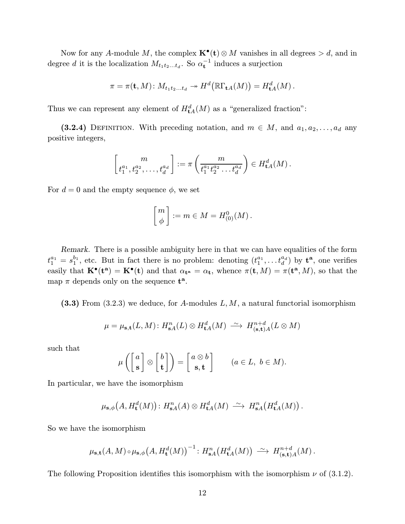Now for any A-module M, the complex  $\mathbf{K}^{\bullet}(\mathbf{t}) \otimes M$  vanishes in all degrees  $> d$ , and in degree d it is the localization  $M_{t_1t_2...t_d}$ . So  $\alpha_t^{-1}$  induces a surjection

$$
\pi = \pi(\mathbf{t},M) \colon M_{t_1t_2...t_d} \twoheadrightarrow H^d(\mathbb{R}\Gamma_{\mathbf{t}A}(M)) = H^d_{\mathbf{t}A}(M).
$$

Thus we can represent any element of  $H_{\mathbf{t}A}^d(M)$  as a "generalized fraction":

(3.2.4) DEFINITION. With preceding notation, and  $m \in M$ , and  $a_1, a_2, \ldots, a_d$  any positive integers,

$$
\begin{bmatrix} m \\ t_1^{a_1}, t_2^{a_2}, \dots, t_d^{a_d} \end{bmatrix} := \pi \left( \frac{m}{t_1^{a_1} t_2^{a_2} \dots t_d^{a_d}} \right) \in H_{\mathbf{t}A}^d(M).
$$

For  $d = 0$  and the empty sequence  $\phi$ , we set

$$
\begin{bmatrix} m \\ \phi \end{bmatrix} := m \in M = H^0_{(0)}(M) .
$$

Remark. There is a possible ambiguity here in that we can have equalities of the form  $t_1^{a_1} = s_1^{b_1}$ , etc. But in fact there is no problem: denoting  $(t_1^{a_1}, \ldots t_d^{a_d})$  by  $\mathbf{t}^{\mathbf{a}},$  one verifies easily that  $\mathbf{K}^{\bullet}(\mathbf{t}^{\mathbf{a}}) = \mathbf{K}^{\bullet}(\mathbf{t})$  and that  $\alpha_{\mathbf{t}^{\mathbf{a}}} = \alpha_{\mathbf{t}}$ , whence  $\pi(\mathbf{t}, M) = \pi(\mathbf{t}^{\mathbf{a}}, M)$ , so that the map  $\pi$  depends only on the sequence  $t^a$ .

 $(3.3)$  From  $(3.2.3)$  we deduce, for A-modules L, M, a natural functorial isomorphism

$$
\mu = \mu_{\mathbf{s},\mathbf{t}}(L,M) \colon H_{\mathbf{s},A}^n(L) \otimes H_{\mathbf{t},A}^d(M) \stackrel{\sim}{\longrightarrow} H_{(\mathbf{s},\mathbf{t})A}^{n+d}(L \otimes M)
$$

such that

$$
\mu\left(\begin{bmatrix}a\\ \mathbf{s}\end{bmatrix}\otimes\begin{bmatrix}b\\ \mathbf{t}\end{bmatrix}\right)=\begin{bmatrix}a\otimes b\\ \mathbf{s},\mathbf{t}\end{bmatrix}\qquad(a\in L,\ b\in M).
$$

In particular, we have the isomorphism

$$
\mu_{\mathbf{s},\phi}\big(A,H_{\mathbf{t}}^{d}(M)\big)\colon H_{\mathbf{s}A}^{n}(A)\otimes H_{\mathbf{t}A}^{d}(M)\stackrel{\sim}{\longrightarrow} H_{\mathbf{s}A}^{n}\big(H_{\mathbf{t}A}^{d}(M)\big)\,.
$$

So we have the isomorphism

$$
\mu_{\mathbf{s},\mathbf{t}}(A,M) \circ \mu_{\mathbf{s},\phi}\big(A, H_{\mathbf{t}}^d(M)\big)^{-1} \colon H_{\mathbf{s}A}^n\big(H_{\mathbf{t}A}^d(M)\big) \; \xrightarrow{\sim} \; H_{(\mathbf{s},\mathbf{t})A}^{n+d}(M) \, .
$$

The following Proposition identifies this isomorphism with the isomorphism  $\nu$  of (3.1.2).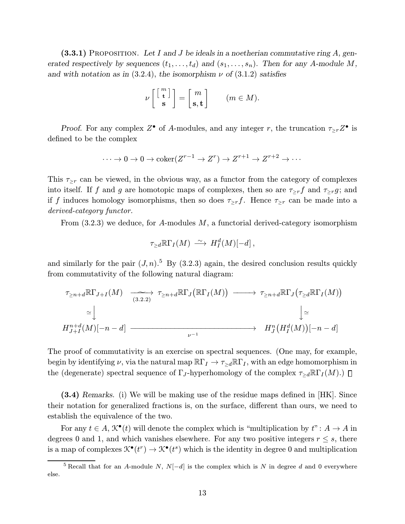$(3.3.1)$  PROPOSITION. Let I and J be ideals in a noetherian commutative ring A, generated respectively by sequences  $(t_1,\ldots,t_d)$  and  $(s_1,\ldots,s_n)$ . Then for any A-module M, and with notation as in (3.2.4), the isomorphism  $\nu$  of (3.1.2) satisfies

$$
\nu\left[\begin{bmatrix} m \\ \mathbf{t} \\ \mathbf{s} \end{bmatrix}\right] = \begin{bmatrix} m \\ \mathbf{s}, \mathbf{t} \end{bmatrix} \qquad (m \in M).
$$

Proof. For any complex  $Z^{\bullet}$  of A-modules, and any integer r, the truncation  $\tau_{>r}Z^{\bullet}$  is defined to be the complex

$$
\cdots \to 0 \to 0 \to \mathrm{coker}(Z^{r-1} \to Z^r) \to Z^{r+1} \to Z^{r+2} \to \cdots
$$

This  $\tau_{\geq r}$  can be viewed, in the obvious way, as a functor from the category of complexes into itself. If f and g are homotopic maps of complexes, then so are  $\tau_{>r}f$  and  $\tau_{>r}g$ ; and if f induces homology isomorphisms, then so does  $\tau_{\geq r}$ . Hence  $\tau_{\geq r}$  can be made into a derived-category functor.

From  $(3.2.3)$  we deduce, for A-modules M, a functorial derived-category isomorphism

$$
\tau_{\geq d} \R\Gamma_I(M) \; \stackrel{\sim}{\longrightarrow} \; H^d_I(M)[-d]\,,
$$

and similarly for the pair  $(J, n)$ .<sup>5</sup> By  $(3.2.3)$  again, the desired conclusion results quickly from commutativity of the following natural diagram:

$$
\tau_{\geq n+d} \mathbb{R} \Gamma_{J+I}(M) \xrightarrow[(3.2.2)]{} \tau_{\geq n+d} \mathbb{R} \Gamma_{J}(\mathbb{R} \Gamma_{I}(M)) \longrightarrow \tau_{\geq n+d} \mathbb{R} \Gamma_{J}(\tau_{\geq d} \mathbb{R} \Gamma_{I}(M))
$$
  
\n
$$
\simeq \downarrow \qquad \qquad \downarrow \simeq
$$
  
\n
$$
H_{J+I}^{n+d}(M)[-n-d] \longrightarrow H_{J}^{n}(H_{I}^{d}(M))[-n-d]
$$

The proof of commutativity is an exercise on spectral sequences. (One may, for example, begin by identifying  $\nu$ , via the natural map  $\mathbb{R}\Gamma_I \to \tau_{\geq d} \mathbb{R}\Gamma_I$ , with an edge homomorphism in the (degenerate) spectral sequence of  $\Gamma_J$ -hyperhomology of the complex  $\tau_{\geq d} \mathbb{R} \Gamma_I(M)$ .)  $\Box$ 

(3.4) Remarks. (i) We will be making use of the residue maps defined in [HK]. Since their notation for generalized fractions is, on the surface, different than ours, we need to establish the equivalence of the two.

For any  $t \in A$ ,  $\mathcal{K}^{\bullet}(t)$  will denote the complex which is "multiplication by  $t$ ":  $A \to A$  in degrees 0 and 1, and which vanishes elsewhere. For any two positive integers  $r \leq s$ , there is a map of complexes  $\mathcal{K}^{\bullet}(t^r) \to \mathcal{K}^{\bullet}(t^s)$  which is the identity in degree 0 and multiplication

<sup>&</sup>lt;sup>5</sup> Recall that for an A-module N,  $N[-d]$  is the complex which is N in degree d and 0 everywhere else.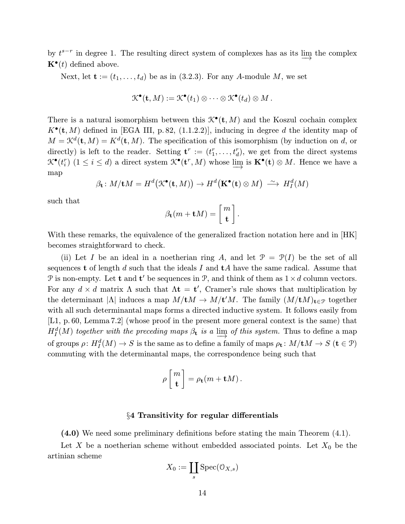by  $t^{s-r}$  in degree 1. The resulting direct system of complexes has as its  $\lim_{t \to \infty}$  the complex  $\mathbf{K}^{\bullet}(t)$  defined above.

Next, let  $\mathbf{t} := (t_1, \ldots, t_d)$  be as in (3.2.3). For any A-module M, we set

$$
\mathcal{K}^{\bullet}(\mathbf{t},M):=\mathcal{K}^{\bullet}(t_1)\otimes\cdots\otimes\mathcal{K}^{\bullet}(t_d)\otimes M.
$$

There is a natural isomorphism between this  $\mathcal{K}^{\bullet}(\mathbf{t}, M)$  and the Koszul cochain complex  $K^{\bullet}(\mathbf{t}, M)$  defined in [EGA III, p. 82, (1.1.2.2)], inducing in degree d the identity map of  $M = \mathcal{K}^d(\mathbf{t}, M) = K^d(\mathbf{t}, M)$ . The specification of this isomorphism (by induction on d, or directly) is left to the reader. Setting  $\mathbf{t}^r := (t_1^r, \ldots, t_d^r)$ , we get from the direct systems  $\mathcal{K}^{\bullet}(t_i^r)$   $(1 \leq i \leq d)$  a direct system  $\mathcal{K}^{\bullet}(\mathbf{t}^r, M)$  whose  $\lim_{n \to \infty}$  is  $\mathbf{K}^{\bullet}(\mathbf{t}) \otimes M$ . Hence we have a map

$$
\beta_{\mathbf{t}}: M/\mathbf{t}M = H^d(\mathcal{K}^{\bullet}(\mathbf{t},M)) \to H^d(\mathbf{K}^{\bullet}(\mathbf{t}) \otimes M) \stackrel{\sim}{\longrightarrow} H^d_I(M)
$$

such that

$$
\beta_{\mathbf{t}}(m+\mathbf{t}M) = \begin{bmatrix} m \\ \mathbf{t} \end{bmatrix}.
$$

With these remarks, the equivalence of the generalized fraction notation here and in [HK] becomes straightforward to check.

(ii) Let I be an ideal in a noetherian ring A, and let  $\mathcal{P} = \mathcal{P}(I)$  be the set of all sequences t of length d such that the ideals I and  $tA$  have the same radical. Assume that P is non-empty. Let **t** and **t'** be sequences in P, and think of them as  $1 \times d$  column vectors. For any  $d \times d$  matrix  $\Lambda$  such that  $\Lambda t = t'$ , Cramer's rule shows that multiplication by the determinant  $|\Lambda|$  induces a map  $M/tM \to M/t'M$ . The family  $(M/tM)_{t \in \mathcal{P}}$  together with all such determinantal maps forms a directed inductive system. It follows easily from [L1, p. 60, Lemma 7.2] (whose proof in the present more general context is the same) that  $H_I^d(M)$  together with the preceding maps  $\beta_t$  is a  $\lim_{M \to \infty}$  of this system. Thus to define a map of groups  $\rho\colon H^d_I(M)\to S$  is the same as to define a family of maps  $\rho_{\mathbf{t}}\colon M/\mathbf{t}M\to S$   $(\mathbf{t}\in \mathfrak{P})$ commuting with the determinantal maps, the correspondence being such that

$$
\rho \left[ \begin{array}{c} m \\ \mathbf{t} \end{array} \right] = \rho_{\mathbf{t}}(m + \mathbf{t}M) \,.
$$

### §4 Transitivity for regular differentials

(4.0) We need some preliminary definitions before stating the main Theorem (4.1).

Let X be a noetherian scheme without embedded associated points. Let  $X_0$  be the artinian scheme

$$
X_0:=\coprod_s \mathrm{Spec}(\mathbb{O}_{X,s})
$$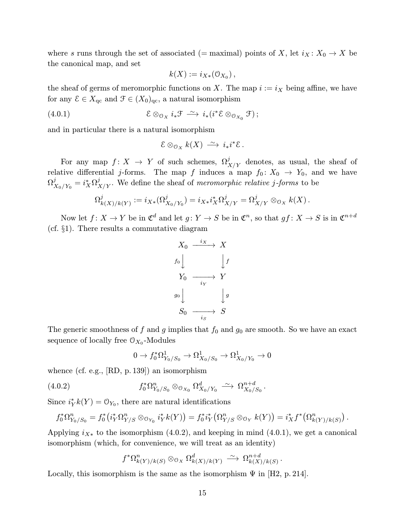where s runs through the set of associated (= maximal) points of X, let  $i_X : X_0 \to X$  be the canonical map, and set

$$
k(X) := i_{X*}(\mathfrak{O}_{X_0}),
$$

the sheaf of germs of meromorphic functions on X. The map  $i := i_X$  being affine, we have for any  $\mathcal{E} \in X_{\text{qc}}$  and  $\mathcal{F} \in (X_0)_{\text{qc}}$ , a natural isomorphism

(4.0.1) 
$$
\mathcal{E} \otimes_{\mathcal{O}_X} i_*\mathcal{F} \stackrel{\sim}{\longrightarrow} i_*(i^*\mathcal{E} \otimes_{\mathcal{O}_{X_0}} \mathcal{F});
$$

and in particular there is a natural isomorphism

$$
\mathcal{E} \otimes_{\mathcal{O}_X} k(X) \stackrel{\sim}{\longrightarrow} i_*i^*\mathcal{E}.
$$

For any map  $f: X \to Y$  of such schemes,  $\Omega^j_{X/Y}$  denotes, as usual, the sheaf of relative differential j-forms. The map f induces a map  $f_0: X_0 \to Y_0$ , and we have  $\Omega^{j}_{X_0/Y_0} = i^{*}_{X}\Omega^{j}_{X/Y}$ . We define the sheaf of *meromorphic relative j-forms* to be

$$
\Omega_{k(X)/k(Y)}^j := i_{X*}(\Omega_{X_0/Y_0}^j) = i_{X*}i_X^*\Omega_{X/Y}^j = \Omega_{X/Y}^j \otimes_{\mathcal{O}_X} k(X).
$$

Now let  $f: X \to Y$  be in  $\mathfrak{C}^d$  and let  $g: Y \to S$  be in  $\mathfrak{C}^n$ , so that  $gf: X \to S$  is in  $\mathfrak{C}^{n+d}$ (cf. §1). There results a commutative diagram

$$
X_0 \xrightarrow{i_X} X
$$
  
\n
$$
f_0 \downarrow \qquad \qquad \downarrow f
$$
  
\n
$$
Y_0 \xrightarrow{i_Y} Y
$$
  
\n
$$
g_0 \downarrow \qquad \qquad \downarrow g
$$
  
\n
$$
S_0 \xrightarrow{i_S} S
$$

The generic smoothness of f and g implies that  $f_0$  and  $g_0$  are smooth. So we have an exact sequence of locally free  $O_{X_0}$ -Modules

$$
0 \to f_0^* \Omega^1_{Y_0/S_0} \to \Omega^1_{X_0/S_0} \to \Omega^1_{X_0/Y_0} \to 0
$$

whence (cf. e.g., [RD, p. 139]) an isomorphism

$$
(4.0.2) \t\t f_0^* \Omega_{Y_0/S_0}^n \otimes_{\mathcal{O}_{X_0}} \Omega_{X_0/Y_0}^d \xrightarrow{\sim} \Omega_{X_0/S_0}^{n+d}.
$$

Since  $i_Y^* k(Y) = \mathcal{O}_{Y_0}$ , there are natural identifications

$$
f_0^*\Omega_{Y_0/S_0}^n = f_0^*\big(i_Y^*\Omega_{Y/S}^n\otimes_{\mathcal{O}_{Y_0}} i_Y^*k(Y)\big) = f_0^*i_Y^*\big(\Omega_{Y/S}^n\otimes_{\mathcal{O}_Y} k(Y)\big) = i_X^*f^*\big(\Omega_{k(Y)/k(S)}^n\big)\,.
$$

Applying  $i_{X*}$  to the isomorphism (4.0.2), and keeping in mind (4.0.1), we get a canonical isomorphism (which, for convenience, we will treat as an identity)

$$
f^*\Omega^n_{k(Y)/k(S)} \otimes_{\mathfrak{O}_X} \Omega^d_{k(X)/k(Y)} \longrightarrow \Omega^{n+d}_{k(X)/k(S)}.
$$

Locally, this isomorphism is the same as the isomorphism  $\Psi$  in [H2, p. 214].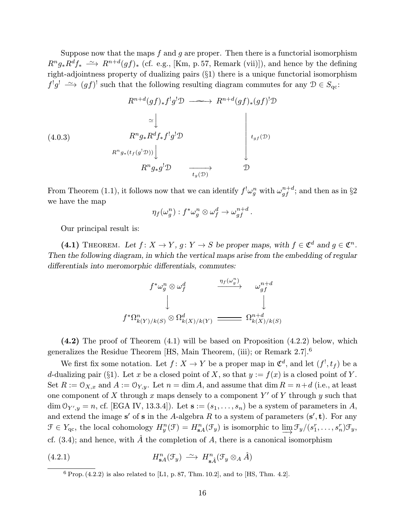Suppose now that the maps  $f$  and  $g$  are proper. Then there is a functorial isomorphism  $R^n g_* R^d f_* \longrightarrow R^{n+d} (gf)_*$  (cf. e.g., [Km, p. 57, Remark (vii)]), and hence by the defining right-adjointness property of dualizing pairs (§1) there is a unique functorial isomorphism  $f^!g^! \longrightarrow (gf)^!$  such that the following resulting diagram commutes for any  $\mathcal{D} \in S_{\text{qc}}$ :

$$
R^{n+d}(gf)_{*}f^{!}g^{!}\mathcal{D} \longrightarrow R^{n+d}(gf)_{*}(gf)^{!}\mathcal{D}
$$
\n
$$
\simeq \bigcup_{R^{n}g_{*}R^{d}f_{*}f^{!}g^{!}\mathcal{D}}\bigg|_{t_{gf}(\mathcal{D})}
$$
\n
$$
R^{n}g_{*}(t_{f}(g^{!}\mathcal{D}))\bigcup_{t_{g}(\mathcal{D})}\longrightarrow \mathcal{D}
$$

From Theorem (1.1), it follows now that we can identify  $f^! \omega_g^n$  with  $\omega_{gf}^{n+d}$ ; and then as in §2 we have the map

$$
\eta_f(\omega_g^n):f^*\omega_g^n\otimes \omega_f^d\to \omega_{gf}^{n+d}.
$$

Our principal result is:

(4.1) THEOREM. Let  $f: X \to Y$ ,  $g: Y \to S$  be proper maps, with  $f \in \mathfrak{C}^d$  and  $g \in \mathfrak{C}^n$ . Then the following diagram, in which the vertical maps arise from the embedding of regular differentials into meromorphic differentials, commutes:

$$
\begin{array}{ccc}f^{*}\omega_{g}^{n}\otimes\omega_{f}^{d} & \xrightarrow{\eta_{f}(\omega_{g}^{n})} & \omega_{gf}^{n+d}\\ \downarrow & & \downarrow & \\ f^{*}\Omega_{k(Y)/k(S)}^{n}\otimes\Omega_{k(X)/k(Y)}^{d} & \xrightarrow{\hspace{1cm}} \Omega_{k(X)/k(S)}^{n+d} \end{array}
$$

(4.2) The proof of Theorem (4.1) will be based on Proposition (4.2.2) below, which generalizes the Residue Theorem [HS, Main Theorem, (iii); or Remark 2.7].<sup>6</sup>

We first fix some notation. Let  $f: X \to Y$  be a proper map in  $\mathfrak{C}^d$ , and let  $(f^!, t_f)$  be a d-dualizing pair (§1). Let x be a closed point of X, so that  $y := f(x)$  is a closed point of Y. Set  $R := \mathcal{O}_{X,x}$  and  $A := \mathcal{O}_{Y,y}$ . Let  $n = \dim A$ , and assume that  $\dim R = n+d$  (i.e., at least one component of X through x maps densely to a component  $Y'$  of Y through y such that dim  $\mathcal{O}_{Y',y} = n$ , cf. [EGA IV, 13.3.4]). Let  $\mathbf{s} := (s_1, \ldots, s_n)$  be a system of parameters in A, and extend the image s' of s in the A-algebra R to a system of parameters  $(s', t)$ . For any  $\mathcal{F} \in Y_{\text{qc}},$  the local cohomology  $H_y^n(\mathcal{F}) = H_{\text{sa}}^n(\mathcal{F}_y)$  is isomorphic to  $\varinjlim \mathcal{F}_y/(s_1^r, \ldots, s_n^r) \mathcal{F}_y$ , cf. (3.4); and hence, with  $\hat{A}$  the completion of  $A$ , there is a canonical isomorphism

(4.2.1) 
$$
H_{\mathbf{s}A}^n(\mathcal{F}_y) \stackrel{\sim}{\longrightarrow} H_{\mathbf{s}\hat{A}}^n(\mathcal{F}_y \otimes_A \hat{A})
$$

 $\overline{^6$  Prop. (4.2.2) is also related to [L1, p. 87, Thm. 10.2], and to [HS, Thm. 4.2].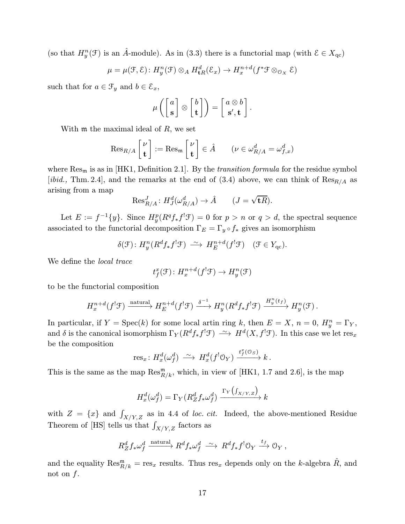(so that  $H_{y}^{n}(\mathcal{F})$  is an  $\hat{A}$ -module). As in (3.3) there is a functorial map (with  $\mathcal{E} \in X_{\text{qc}}$ )

$$
\mu = \mu(\mathcal{F}, \mathcal{E}) : H_y^n(\mathcal{F}) \otimes_A H_{\mathbf{t}R}^d(\mathcal{E}_x) \to H_x^{n+d}(f^* \mathcal{F} \otimes_{\mathcal{O}_X} \mathcal{E})
$$

such that for  $a \in \mathcal{F}_y$  and  $b \in \mathcal{E}_x$ ,

$$
\mu\left(\begin{bmatrix}a\\ \mathbf{s}\end{bmatrix}\otimes\begin{bmatrix}b\\ \mathbf{t}\end{bmatrix}\right)=\begin{bmatrix}a\otimes b\\ \mathbf{s'},\mathbf{t}\end{bmatrix}.
$$

With  $m$  the maximal ideal of  $R$ , we set

$$
\operatorname{Res}_{R/A}\begin{bmatrix} \nu \\ \mathbf{t} \end{bmatrix} := \operatorname{Res}_{\mathfrak{m}}\begin{bmatrix} \nu \\ \mathbf{t} \end{bmatrix} \in \hat{A} \qquad (\nu \in \omega_{R/A}^d = \omega_{f,x}^d)
$$

where  $\text{Res}_{m}$  is as in [HK1, Definition 2.1]. By the *transition formula* for the residue symbol [*ibid.*, Thm. 2.4], and the remarks at the end of  $(3.4)$  above, we can think of  $\text{Res}_{R/A}$  as arising from a map

$$
\operatorname{Res}_{R/A}^J: H_J^d(\omega_{R/A}^d) \to \hat{A} \qquad (J = \sqrt{\mathbf{t}R}).
$$

Let  $E := f^{-1}{y}$ . Since  $H_y^p(R^q f_* f^! \mathcal{F}) = 0$  for  $p > n$  or  $q > d$ , the spectral sequence associated to the functorial decomposition  $\Gamma_E = \Gamma_y \circ f_*$  gives an isomorphism

$$
\delta(\mathcal{F})\colon H_y^n(R^d f_* f^!\mathcal{F}) \xrightarrow{\sim} H_E^{n+d}(f^!\mathcal{F}) \quad (\mathcal{F} \in Y_{\mathrm{qc}}).
$$

We define the local trace

$$
t_f^x(\mathcal{F})\colon H_x^{n+d}(f^!\mathcal{F})\to H_y^n(\mathcal{F})
$$

to be the functorial composition

$$
H^{n+d}_{x}(f^{!}\mathcal{F})\xrightarrow{\text{natural}} H^{n+d}_{E}(f^{!}\mathcal{F})\xrightarrow{\delta^{-1}} H^{n}_{y}(R^{d}f_{*}f^{!}\mathcal{F})\xrightarrow{H^{n}_{y}(t_{f})} H^{n}_{y}(\mathcal{F}).
$$

In particular, if  $Y = \text{Spec}(k)$  for some local artin ring k, then  $E = X$ ,  $n = 0$ ,  $H_y^n = \Gamma_Y$ , and  $\delta$  is the canonical isomorphism  $\Gamma_Y(R^df_*f^!\mathcal{F}) \longrightarrow H^d(X,f^!\mathcal{F})$ . In this case we let  $\text{res}_x$ be the composition

$$
\operatorname{res}_x \colon H^d_x(\omega_f^d) \; \xrightarrow{\; \sim \;} H^d_x(f^!\mathbb{O}_Y) \xrightarrow{t_f^x(\mathbb{O}_S)} k \, .
$$

This is the same as the map  $\operatorname{Res}_{R/k}^m$ , which, in view of [HK1, 1.7 and 2.6], is the map

$$
H_x^d(\omega_f^d) = \Gamma_Y(R_Z^d f_* \omega_f^d) \xrightarrow{\Gamma_Y \left( \int_{X/Y,Z} \right)} k
$$

with  $Z = \{x\}$  and  $\int_{X/Y,Z}$  as in 4.4 of loc. cit. Indeed, the above-mentioned Residue Theorem of [HS] tells us that  $\int_{X/Y,Z}$  factors as

$$
R_Z^d f_* \omega_f^d \xrightarrow{\text{natural}} R^d f_* \omega_f^d \xrightarrow{\sim} R^d f_* f^! \mathcal{O}_Y \xrightarrow{t_f} \mathcal{O}_Y,
$$

and the equality  $\text{Res}_{R/k}^{\mathfrak{m}} = \text{res}_x$  results. Thus  $\text{res}_x$  depends only on the k-algebra  $\hat{R}$ , and not on  $f$ .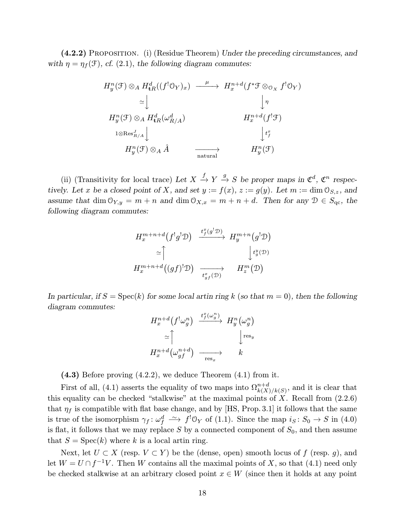(4.2.2) Proposition. (i) (Residue Theorem) Under the preceding circumstances, and with  $\eta = \eta_f(\mathcal{F})$ , cf. (2.1), the following diagram commutes:

$$
H_y^n(\mathcal{F}) \otimes_A H_{\mathbf{t}R}^d((f^! \mathcal{O}_Y)_x) \xrightarrow{\mu} H_x^{n+d}(f^* \mathcal{F} \otimes_{\mathcal{O}_X} f^! \mathcal{O}_Y)
$$
  
\n
$$
\simeq \downarrow \qquad \qquad \downarrow \eta
$$
  
\n
$$
H_y^n(\mathcal{F}) \otimes_A H_{\mathbf{t}R}^d(\omega_{R/A}^d) \qquad H_x^{n+d}(f^! \mathcal{F})
$$
  
\n
$$
1 \otimes \text{Res}_{R/A}^f \downarrow \qquad \qquad \downarrow t_x^x
$$
  
\n
$$
H_y^n(\mathcal{F}) \otimes_A \hat{A} \qquad \longrightarrow \qquad H_y^n(\mathcal{F})
$$

(ii) (Transitivity for local trace) Let  $X \stackrel{f}{\to} Y \stackrel{g}{\to} S$  be proper maps in  $\mathfrak{C}^d$ ,  $\mathfrak{C}^n$  respectively. Let x be a closed point of X, and set  $y := f(x)$ ,  $z := g(y)$ . Let  $m := \dim \mathcal{O}_{S,z}$ , and assume that dim  $\mathcal{O}_{Y,y} = m + n$  and dim  $\mathcal{O}_{X,x} = m + n + d$ . Then for any  $\mathcal{D} \in S_{\text{qc}}$ , the following diagram commutes:

$$
H_x^{m+n+d}(f!g!\mathcal{D}) \xrightarrow{\ t_f^x(g!\mathcal{D})} H_y^{m+n}(g!\mathcal{D})
$$
  
\n
$$
\simeq \uparrow \qquad \qquad \downarrow t_g^y(\mathcal{D})
$$
  
\n
$$
H_x^{m+n+d}((gf)!\mathcal{D}) \xrightarrow{\cdot t_{gf}^x(\mathcal{D})} H_z^m(\mathcal{D})
$$

In particular, if  $S = \operatorname{Spec}(k)$  for some local artin ring k (so that  $m = 0$ ), then the following diagram commutes:

$$
H_x^{n+d}(f^!\omega_g^n) \xrightarrow{\iota_f^n(\omega_g^n)} H_y^n(\omega_g^n)
$$
  
\n
$$
\simeq \uparrow \qquad \qquad \downarrow_{\text{res}_y}
$$
  
\n
$$
H_x^{n+d}(\omega_g^{n+d}) \xrightarrow{\text{res}_x} k
$$

 $(4.3)$  Before proving  $(4.2.2)$ , we deduce Theorem  $(4.1)$  from it.

First of all, (4.1) asserts the equality of two maps into  $\Omega_{k(X)/k(S)}^{n+d}$ , and it is clear that this equality can be checked "stalkwise" at the maximal points of  $X$ . Recall from  $(2.2.6)$ that  $\eta_f$  is compatible with flat base change, and by [HS, Prop. 3.1] it follows that the same is true of the isomorphism  $\gamma_f: \omega_f^d \longrightarrow f' \mathcal{O}_Y$  of (1.1). Since the map  $i_S: S_0 \to S$  in (4.0) is flat, it follows that we may replace S by a connected component of  $S_0$ , and then assume that  $S = \text{Spec}(k)$  where k is a local artin ring.

Next, let  $U \subset X$  (resp.  $V \subset Y$ ) be the (dense, open) smooth locus of f (resp. g), and let  $W = U \cap f^{-1}V$ . Then W contains all the maximal points of X, so that (4.1) need only be checked stalkwise at an arbitrary closed point  $x \in W$  (since then it holds at any point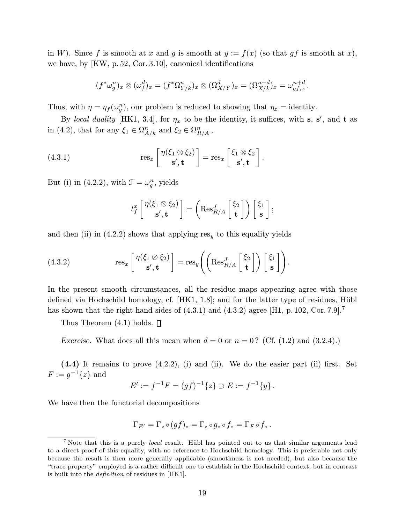in W). Since f is smooth at x and g is smooth at  $y := f(x)$  (so that gf is smooth at x), we have, by [KW, p. 52, Cor.3.10], canonical identifications

$$
(f^*\omega_g^n)_x \otimes (\omega_f^d)_x = (f^*\Omega_{Y/k}^n)_x \otimes (\Omega_{X/Y}^d)_x = (\Omega_{X/k}^{n+d})_x = \omega_{gf,x}^{n+d}.
$$

Thus, with  $\eta = \eta_f(\omega_g^n)$ , our problem is reduced to showing that  $\eta_x =$  identity.

By local duality [HK1, 3.4], for  $\eta_x$  to be the identity, it suffices, with s, s', and t as in (4.2), that for any  $\xi_1 \in \Omega^n_{A/k}$  and  $\xi_2 \in \Omega^n_{R/A}$ ,

(4.3.1) 
$$
\operatorname{res}_x \left[ \begin{array}{c} \eta(\xi_1 \otimes \xi_2) \\ \mathbf{s}', \mathbf{t} \end{array} \right] = \operatorname{res}_x \left[ \begin{array}{c} \xi_1 \otimes \xi_2 \\ \mathbf{s}', \mathbf{t} \end{array} \right].
$$

But (i) in (4.2.2), with  $\mathcal{F} = \omega_g^n$ , yields

$$
t_f^x \begin{bmatrix} \eta(\xi_1 \otimes \xi_2) \\ \mathbf{s}', \mathbf{t} \end{bmatrix} = \left( \text{Res}_{R/A}^J \begin{bmatrix} \xi_2 \\ \mathbf{t} \end{bmatrix} \right) \begin{bmatrix} \xi_1 \\ \mathbf{s} \end{bmatrix};
$$

and then (ii) in (4.2.2) shows that applying  $res<sub>y</sub>$  to this equality yields

(4.3.2) 
$$
\operatorname{res}_x \left[ \begin{array}{c} \eta(\xi_1 \otimes \xi_2) \\ \mathbf{s}', \mathbf{t} \end{array} \right] = \operatorname{res}_y \left( \left( \operatorname{Res}_{R/A}^J \left[ \begin{array}{c} \xi_2 \\ \mathbf{t} \end{array} \right] \right) \left[ \begin{array}{c} \xi_1 \\ \mathbf{s} \end{array} \right] \right).
$$

In the present smooth circumstances, all the residue maps appearing agree with those defined via Hochschild homology, cf.  $[HK1, 1.8]$ ; and for the latter type of residues, Hübl has shown that the right hand sides of  $(4.3.1)$  and  $(4.3.2)$  agree [H1, p. 102, Cor. 7.9].<sup>7</sup>

Thus Theorem  $(4.1)$  holds.  $\Box$ 

Exercise. What does all this mean when  $d = 0$  or  $n = 0$ ? (Cf. (1.2) and (3.2.4).)

(4.4) It remains to prove (4.2.2), (i) and (ii). We do the easier part (ii) first. Set  $F := g^{-1}{z}$  and

$$
E' := f^{-1}F = (gf)^{-1}\{z\} \supset E := f^{-1}\{y\}.
$$

We have then the functorial decompositions

$$
\Gamma_{E'} = \Gamma_z \circ (gf)_* = \Gamma_z \circ g_* \circ f_* = \Gamma_F \circ f_*.
$$

 $7$  Note that this is a purely *local* result. Hübl has pointed out to us that similar arguments lead to a direct proof of this equality, with no reference to Hochschild homology. This is preferable not only because the result is then more generally applicable (smoothness is not needed), but also because the "trace property" employed is a rather difficult one to establish in the Hochschild context, but in contrast is built into the definition of residues in [HK1].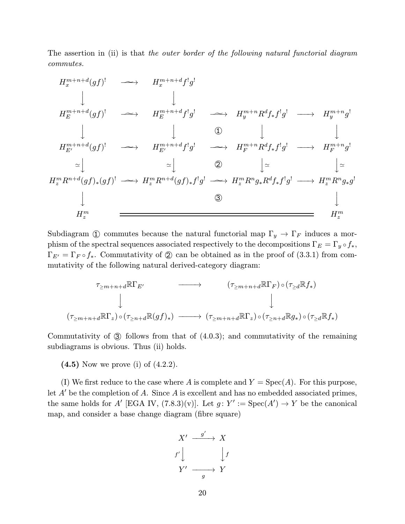The assertion in (ii) is that the outer border of the following natural functorial diagram commutes.

$$
H_x^{m+n+d}(gf)^! \longrightarrow H_x^{m+n+d}f^!g^!
$$
\n
$$
\downarrow \qquad \qquad \downarrow
$$
\n
$$
H_E^{m+n+d}(gf)^! \longrightarrow H_E^{m+n+d}f^!g^! \longrightarrow H_y^{m+n}R^df_*f^!g^! \longrightarrow H_y^{m+n}g^!
$$
\n
$$
\downarrow \qquad \qquad \downarrow \qquad \qquad \downarrow \qquad \qquad \downarrow
$$
\n
$$
H_{E'}^{m+n+d}(gf)^! \longrightarrow H_{E'}^{m+n+d}f^!g^! \longrightarrow H_{F}^{m+n}R^df_*f^!g^! \longrightarrow H_{F}^{m+n}g^!
$$
\n
$$
\simeq \downarrow \qquad \qquad \simeq \qquad \qquad \searrow \qquad \qquad \searrow
$$
\n
$$
H_x^m R^{n+d}(gf)_*(gf)^! \longrightarrow H_x^m R^{n+d}(gf)_*f^!g^! \longrightarrow H_x^m R^n g_* R^df_*f^!g^! \longrightarrow H_x^m R^n g_* g^!
$$
\n
$$
\downarrow
$$
\n
$$
H_x^m \longrightarrow H_x^m \qquad \qquad \searrow
$$
\n
$$
H_x^m \qquad \qquad \searrow
$$
\n
$$
H_x^m \qquad \qquad \searrow
$$
\n
$$
H_x^m \qquad \qquad \searrow
$$
\n
$$
H_x^m \qquad \qquad \searrow
$$
\n
$$
H_x^m \qquad \qquad \searrow
$$
\n
$$
H_x^m \qquad \qquad H_x^m \qquad \qquad H_x^m \qquad \qquad H_x^m \qquad \qquad H_x^m \qquad \qquad H_x^m \qquad \qquad H_x^m \qquad \qquad H_x^m \qquad \qquad H_x^m \qquad \qquad H_x^m \qquad \qquad H_x^m \qquad \qquad H_x^m \qquad \qquad H_x^m \qquad \qquad H_x^m \qquad \qquad H_x^m \qquad \qquad H_x^m \qquad \qquad H_x^m \qquad \qquad H_x^m \qquad \qquad H_x^m \qquad \qquad H_x^m \qquad \qquad H_x^m \qquad \qquad H_x^m \qquad \qquad H_x^m \qquad \qquad H_x^m \qquad \qquad H_x^m \qquad \qquad H_x^m
$$

Subdiagram ① commutes because the natural functorial map  $\Gamma_y \to \Gamma_F$  induces a morphism of the spectral sequences associated respectively to the decompositions  $\Gamma_E = \Gamma_y \circ f_*,$  $\Gamma_{E'} = \Gamma_F \circ f_*$ . Commutativity of  $\mathcal{D}$  can be obtained as in the proof of (3.3.1) from commutativity of the following natural derived-category diagram:

$$
\tau_{\geq m+n+d} \mathbb{R} \Gamma_{E'} \longrightarrow (\tau_{\geq m+n+d} \mathbb{R} \Gamma_F) \circ (\tau_{\geq d} \mathbb{R} f_*)
$$
\n
$$
\downarrow \qquad \qquad \downarrow
$$
\n
$$
(\tau_{\geq m+n+d} \mathbb{R} \Gamma_z) \circ (\tau_{\geq n+d} \mathbb{R} (gf)_*) \longrightarrow (\tau_{\geq m+n+d} \mathbb{R} \Gamma_z) \circ (\tau_{\geq n+d} \mathbb{R} g_*) \circ (\tau_{\geq d} \mathbb{R} f_*)
$$

Commutativity of 3 follows from that of (4.0.3); and commutativity of the remaining subdiagrams is obvious. Thus (ii) holds.

 $(4.5)$  Now we prove (i) of  $(4.2.2)$ .

(I) We first reduce to the case where A is complete and  $Y = \text{Spec}(A)$ . For this purpose, let  $A'$  be the completion of A. Since A is excellent and has no embedded associated primes, the same holds for A' [EGA IV,  $(7.8.3)(v)$ ]. Let  $g: Y' := \text{Spec}(A') \to Y$  be the canonical map, and consider a base change diagram (fibre square)

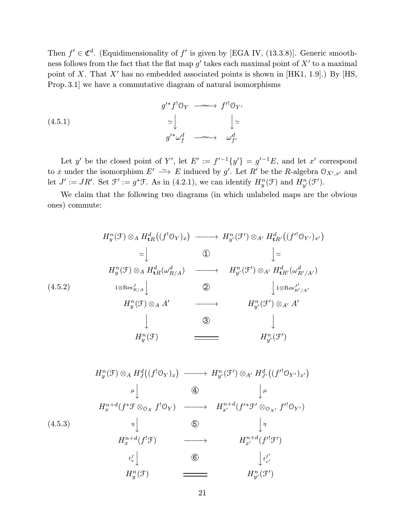Then  $f' \in \mathfrak{C}^d$ . (Equidimensionality of f' is given by [EGA IV, (13.3.8)]. Generic smoothness follows from the fact that the flat map  $g'$  takes each maximal point of  $X'$  to a maximal point of X. That X' has no embedded associated points is shown in [HK1, 1.9].) By [HS, Prop.3.1] we have a commutative diagram of natural isomorphisms

(4.5.1)  
\n
$$
g^{\prime*} f^! \mathbb{O}_Y \longrightarrow f^{\prime!} \mathbb{O}_{Y'}
$$
\n
$$
\simeq \bigcup_{g^{\prime*} \omega_f^d} \longrightarrow \bigcup_{\omega_{f'}^d}
$$

Let y' be the closed point of Y', let  $E' := f^{-1}{y' = g^{-1}E}$ , and let x' correspond to x under the isomorphism  $E' \rightharpoonup E$  induced by g'. Let R' be the R-algebra  $\mathcal{O}_{X',x'}$  and let  $J' := JR'$ . Set  $\mathfrak{F}' := g^*\mathfrak{F}$ . As in (4.2.1), we can identify  $H_y^n(\mathfrak{F})$  and  $H_{y'}^n(\mathfrak{F}')$ .

We claim that the following two diagrams (in which unlabeled maps are the obvious ones) commute:

$$
H_y^n(\mathcal{F}) \otimes_A H_{\mathbf{t}R}^d((f^! \mathcal{O}_Y)_x) \longrightarrow H_{y'}^n(\mathcal{F}') \otimes_{A'} H_{\mathbf{t}R'}^d((f'^! \mathcal{O}_{Y'})_{x'})
$$
  
\n
$$
\simeq \downarrow \qquad \qquad \downarrow \qquad \downarrow
$$
  
\n
$$
H_y^n(\mathcal{F}) \otimes_A H_{\mathbf{t}R}^d(\omega_{R/A}^d) \longrightarrow H_{y'}^n(\mathcal{F}') \otimes_{A'} H_{\mathbf{t}R'}^d(\omega_{R'/A'}^d)
$$
  
\n
$$
H_y^n(\mathcal{F}) \otimes_A A' \longrightarrow H_{y'}^n(\mathcal{F}') \otimes_{A'} A'
$$
  
\n
$$
\downarrow \qquad \qquad \downarrow
$$
  
\n
$$
H_y^n(\mathcal{F}) \longrightarrow H_{y'}^n(\mathcal{F}') \otimes_{A'} A'
$$
  
\n
$$
\downarrow \qquad \qquad \downarrow
$$
  
\n
$$
\downarrow \qquad \qquad \downarrow
$$
  
\n
$$
H_y^n(\mathcal{F}) \longrightarrow H_{y'}^n(\mathcal{F}')
$$

$$
H_y^n(\mathcal{F}) \otimes_A H_y^d((f^! \mathcal{O}_Y)_x) \longrightarrow H_{y'}^n(\mathcal{F}') \otimes_{A'} H_{y'}^d((f'^! \mathcal{O}_{Y'})_{x'})
$$
  
\n
$$
\downarrow \downarrow \qquad \qquad \bigoplus_{\mu \downarrow} \qquad \qquad \bigdownarrow \mu
$$
  
\n
$$
H_x^{n+d}(f^* \mathcal{F} \otimes_{\mathcal{O}_X} f^! \mathcal{O}_Y) \longrightarrow H_{x'}^{n+d}(f'^* \mathcal{F}' \otimes_{\mathcal{O}_{X'}} f'^! \mathcal{O}_{Y'})
$$
  
\n(4.5.3)  
\n
$$
\downarrow \eta
$$
  
\n
$$
H_x^{n+d}(f^! \mathcal{F}) \longrightarrow H_{x'}^{n+d}(f'^! \mathcal{F}')
$$
  
\n
$$
H_x^{f} \downarrow \qquad \qquad \bigoplus_{\substack{t_x^f \downarrow \\ t_x^f \downarrow}} H_{y'}^n(\mathcal{F}) \longrightarrow H_{y'}^n(\mathcal{F}')
$$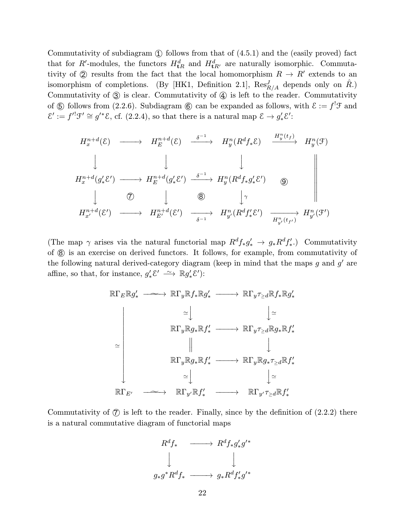Commutativity of subdiagram  $\textcircled{1}$  follows from that of  $(4.5.1)$  and the (easily proved) fact that for R'-modules, the functors  $H_{\mathbf{t}R}^d$  and  $H_{\mathbf{t}R'}^d$  are naturally isomorphic. Commutativity of  $\odot$  results from the fact that the local homomorphism  $R \rightarrow R'$  extends to an isomorphism of completions. (By [HK1, Definition 2.1],  $\text{Res}_{R/A}^J$  depends only on  $\hat{R}$ .) Commutativity of  $\circled{3}$  is clear. Commutativity of  $\circled{4}$  is left to the reader. Commutativity of  $\circledS$  follows from (2.2.6). Subdiagram  $\circledS$  can be expanded as follows, with  $\mathcal{E} := f^{!}\mathcal{F}$  and  $\mathcal{E}' := f'^{!} \mathcal{F}' \cong g'^{*} \mathcal{E}$ , cf. (2.2.4), so that there is a natural map  $\mathcal{E} \to g'_{*} \mathcal{E}'$ :

$$
H_x^{n+d}(\mathcal{E}) \longrightarrow H_E^{n+d}(\mathcal{E}) \xrightarrow{\delta^{-1}} H_y^n(R^d f_* \mathcal{E}) \xrightarrow{H_y^n(t_f)} H_y^n(\mathcal{F})
$$
  
\n
$$
\downarrow \qquad \qquad \downarrow \qquad \qquad \downarrow
$$
  
\n
$$
H_x^{n+d}(g'_* \mathcal{E}') \longrightarrow H_E^{n+d}(g'_* \mathcal{E}') \xrightarrow{\delta^{-1}} H_y^n(R^d f_* g'_* \mathcal{E}') \xrightarrow{\textcircled{9}}
$$
  
\n
$$
\downarrow \qquad \textcircled{8} \qquad \qquad \downarrow \qquad \textcircled{8}
$$
  
\n
$$
H_{x'}^{n+d}(\mathcal{E}') \longrightarrow H_{E'}^{n+d}(\mathcal{E}') \xrightarrow{\delta^{-1}} H_{y'}^n(R^d f'_* \mathcal{E}') \xrightarrow{H_{y'}^n(t_{f'})} H_{y'}^n(\mathcal{F}')
$$

(The map  $\gamma$  arises via the natural functorial map  $R^d f_* g'_* \to g_* R^d f'_*$ .) Commutativity of 8 is an exercise on derived functors. It follows, for example, from commutativity of the following natural derived-category diagram (keep in mind that the maps q and  $q'$  are affine, so that, for instance,  $g'_* \mathcal{E}' \longrightarrow \mathbb{R} g'_* \mathcal{E}'$ :



Commutativity of  $\mathcal{D}$  is left to the reader. Finally, since by the definition of  $(2.2.2)$  there is a natural commutative diagram of functorial maps

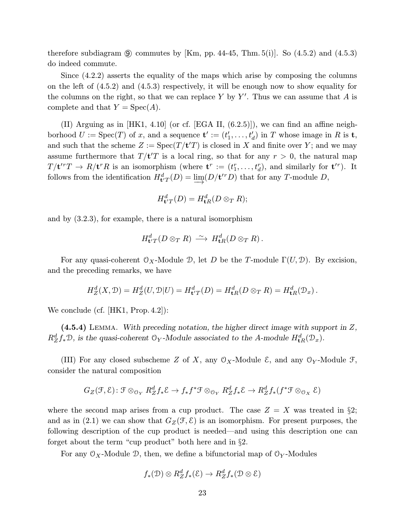therefore subdiagram  $\circled{9}$  commutes by [Km, pp. 44-45, Thm. 5(i)]. So (4.5.2) and (4.5.3) do indeed commute.

Since (4.2.2) asserts the equality of the maps which arise by composing the columns on the left of (4.5.2) and (4.5.3) respectively, it will be enough now to show equality for the columns on the right, so that we can replace Y by Y'. Thus we can assume that A is complete and that  $Y = \text{Spec}(A)$ .

(II) Arguing as in [HK1, 4.10] (or cf. [EGA II, (6.2.5)]), we can find an affine neighborhood  $U := \text{Spec}(T)$  of x, and a sequence  $\mathbf{t}' := (t'_1, \ldots, t'_d)$  in T whose image in R is  $\mathbf{t}$ , and such that the scheme  $Z := \text{Spec}(T/\mathbf{t}'T)$  is closed in X and finite over Y; and we may assume furthermore that  $T/t'T$  is a local ring, so that for any  $r > 0$ , the natural map  $T/\mathbf{t}'^{r}T \to R/\mathbf{t}^{r}R$  is an isomorphism (where  $\mathbf{t}^{r} := (t_{1}^{r}, \ldots, t_{d}^{r}),$  and similarly for  $\mathbf{t}'^{r}$ ). It follows from the identification  $H_{\mathbf{t}'T}^d(D) = \varinjlim(D/\mathbf{t}'^T D)$  that for any T-module D,

$$
H_{\mathbf{t}^{\prime}T}^d(D) = H_{\mathbf{t}R}^d(D \otimes_T R);
$$

and by (3.2.3), for example, there is a natural isomorphism

$$
H_{\mathbf{t}^{\prime}T}^d(D \otimes_T R) \, \xrightarrow{\sim} \, H_{\mathbf{t}R}^d(D \otimes_T R) \, .
$$

For any quasi-coherent  $\mathcal{O}_X$ -Module D, let D be the T-module  $\Gamma(U, \mathcal{D})$ . By excision, and the preceding remarks, we have

$$
H_Z^d(X, \mathcal{D}) = H_Z^d(U, \mathcal{D}|U) = H_{\mathbf{t}'T}^d(D) = H_{\mathbf{t}R}^d(D \otimes_T R) = H_{\mathbf{t}R}^d(\mathcal{D}_x).
$$

We conclude (cf. [HK1, Prop. 4.2]):

 $(4.5.4)$  LEMMA. With preceding notation, the higher direct image with support in Z,  $R_Z^d f_* \mathcal{D}$ , is the quasi-coherent  $\mathcal{O}_Y$ -Module associated to the A-module  $H_{\mathbf{t}R}^d(\mathcal{D}_x)$ .

(III) For any closed subscheme Z of X, any  $\mathcal{O}_X$ -Module E, and any  $\mathcal{O}_Y$ -Module F, consider the natural composition

$$
G_Z(\mathcal{F},\mathcal{E})\colon \mathcal{F} \otimes_{\mathcal{O}_Y} R_Z^d f_*\mathcal{E} \to f_* f^* \mathcal{F} \otimes_{\mathcal{O}_Y} R_Z^d f_*\mathcal{E} \to R_Z^d f_*(f^* \mathcal{F} \otimes_{\mathcal{O}_X} \mathcal{E})
$$

where the second map arises from a cup product. The case  $Z = X$  was treated in §2; and as in (2.1) we can show that  $G_Z(\mathcal{F}, \mathcal{E})$  is an isomorphism. For present purposes, the following description of the cup product is needed—and using this description one can forget about the term "cup product" both here and in §2.

For any  $\mathcal{O}_X$ -Module D, then, we define a bifunctorial map of  $\mathcal{O}_Y$ -Modules

$$
f_*(\mathcal{D}) \otimes R_Z^d f_*(\mathcal{E}) \to R_Z^d f_*(\mathcal{D} \otimes \mathcal{E})
$$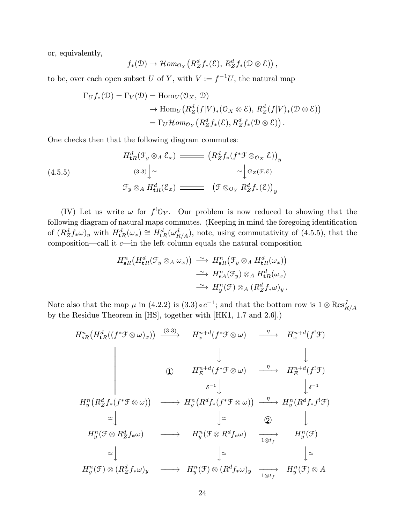or, equivalently,

$$
f_*(\mathfrak{D}) \to \mathcal{H}om_{\mathfrak{O}_Y}\left(R_Z^df_*(\mathcal{E}), R_Z^df_*(\mathfrak{D}\otimes \mathcal{E})\right),
$$

to be, over each open subset U of Y, with  $V := f^{-1}U$ , the natural map

$$
\Gamma_U f_*(\mathcal{D}) = \Gamma_V(\mathcal{D}) = \text{Hom}_V(\mathcal{O}_X, \mathcal{D})
$$
  
\n
$$
\rightarrow \text{Hom}_U(R_Z^d(f|V)_*(\mathcal{O}_X \otimes \mathcal{E}), R_Z^d(f|V)_*(\mathcal{D} \otimes \mathcal{E}))
$$
  
\n
$$
= \Gamma_U \mathcal{H}om_{\mathcal{O}_Y}(R_Z^df_*(\mathcal{E}), R_Z^df_*(\mathcal{D} \otimes \mathcal{E})).
$$

One checks then that the following diagram commutes:

(4.5.5)  
\n
$$
H_{\mathbf{t}R}^d(\mathcal{F}_y \otimes_A \mathcal{E}_x) \longrightarrow (R_Z^d f_*(f^* \mathcal{F} \otimes_{\mathcal{O}_X} \mathcal{E}))_y
$$
\n
$$
\xrightarrow{(3.3)} \Big| \simeq \qquad \qquad \simeq \Big[ G_Z(\mathcal{F}, \mathcal{E}) \Big] \simeq \qquad \qquad \simeq \Big[ G_Z(\mathcal{F}, \mathcal{E}) \Big] \simeq \qquad \qquad \qquad \mathcal{F}_y \otimes_A H_{\mathbf{t}R}^d(\mathcal{E}_x) \longrightarrow \qquad \qquad \left( \mathcal{F} \otimes_{\mathcal{O}_Y} R_Z^d f_*(\mathcal{E}) \right)_y
$$

(IV) Let us write  $\omega$  for  $f^!O_Y$ . Our problem is now reduced to showing that the following diagram of natural maps commutes. (Keeping in mind the foregoing identification of  $(R_Z^d f_* \omega)_y$  with  $H_{\mathbf{t}R}^d(\omega_x) \cong H_{\mathbf{t}R}^d(\omega_{R/A}^d)$ , note, using commutativity of (4.5.5), that the composition—call it  $c$ —in the left column equals the natural composition

$$
H_{sR}^{n}(H_{tR}^{d}(\mathcal{F}_{y}\otimes_{A}\omega_{x})) \xrightarrow{\sim} H_{sR}^{n}(\mathcal{F}_{y}\otimes_{A}H_{tR}^{d}(\omega_{x}))
$$

$$
\xrightarrow{\sim} H_{sA}^{n}(\mathcal{F}_{y})\otimes_{A}H_{tR}^{d}(\omega_{x})
$$

$$
\xrightarrow{\sim} H_{y}^{n}(\mathcal{F})\otimes_{A}(R_{Z}^{d}f_{*}\omega_{y}).
$$

Note also that the map  $\mu$  in (4.2.2) is  $(3.3) \circ c^{-1}$ ; and that the bottom row is  $1 \otimes \text{Res}_{R/A}^J$ by the Residue Theorem in [HS], together with [HK1, 1.7 and 2.6].)

$$
H_{sR}^{n}(H_{tR}^{d}((f^{*}\mathcal{F}\otimes\omega)_{x})) \xrightarrow{(3.3)} H_{x}^{n+d}(f^{*}\mathcal{F}\otimes\omega) \xrightarrow{\eta} H_{x}^{n+d}(f^{!}\mathcal{F})
$$
  

$$
\downarrow \qquad \qquad \downarrow \qquad \qquad \downarrow
$$
  

$$
\downarrow \qquad \qquad \downarrow \qquad \qquad \downarrow
$$
  

$$
H_{y}^{n}(R_{Z}^{d}f_{*}(f^{*}\mathcal{F}\otimes\omega)) \xrightarrow{\delta^{-1}} H_{y}^{n+d}(f^{*}\mathcal{F}\otimes\omega) \xrightarrow{\eta} H_{E}^{n+d}(f^{!}\mathcal{F})
$$
  

$$
\leq \downarrow \qquad \qquad \downarrow \geq \qquad \qquad \downarrow \geq \qquad \qquad \downarrow
$$
  

$$
H_{y}^{n}(\mathcal{F}\otimes R_{Z}^{d}f_{*}\omega) \xrightarrow{\gamma} H_{y}^{n}(\mathcal{F}\otimes R^{d}f_{*}\omega) \xrightarrow{\eta} H_{y}^{n}(R^{d}f_{*}f^{!}\mathcal{F})
$$
  

$$
\simeq \downarrow \qquad \qquad \downarrow \geq \qquad \qquad \downarrow
$$
  

$$
H_{y}^{n}(\mathcal{F}\otimes R_{Z}^{d}f_{*}\omega) \xrightarrow{\gamma} H_{y}^{n}(\mathcal{F}\otimes R^{d}f_{*}\omega) \xrightarrow{\gamma} H_{y}^{n}(\mathcal{F})
$$
  

$$
\simeq \downarrow \qquad \qquad \downarrow \geq \qquad \qquad \downarrow \geq
$$
  

$$
H_{y}^{n}(\mathcal{F})\otimes (R_{Z}^{d}f_{*}\omega)_{y} \xrightarrow{\gamma} H_{y}^{n}(\mathcal{F})\otimes (R^{d}f_{*}\omega)_{y} \xrightarrow{\gamma} H_{y}^{n}(\mathcal{F})\otimes A
$$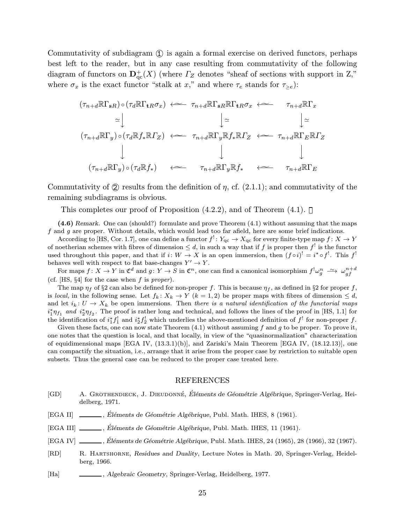Commutativity of subdiagram  $\Omega$  is again a formal exercise on derived functors, perhaps best left to the reader, but in any case resulting from commutativity of the following diagram of functors on  $\mathbf{D}_{\mathrm{qc}}^+(X)$  (where  $\Gamma_Z$  denotes "sheaf of sections with support in Z," where  $\sigma_x$  is the exact functor "stalk at x," and where  $\tau_e$  stands for  $\tau_{\geq e}$ ):

$$
(\tau_{n+d}\mathbb{R}\Gamma_{sR}) \circ (\tau_d\mathbb{R}\Gamma_{tR}\sigma_x) \iff \tau_{n+d}\mathbb{R}\Gamma_{sR}\mathbb{R}\Gamma_{tR}\sigma_x \iff \tau_{n+d}\mathbb{R}\Gamma_x
$$
  
\n
$$
\cong \downarrow \qquad \qquad \downarrow \cong \qquad \qquad \downarrow \cong
$$
  
\n
$$
(\tau_{n+d}\mathbb{R}\Gamma_y) \circ (\tau_d\mathbb{R}f_*\mathbb{R}f_Z) \iff \tau_{n+d}\mathbb{R}\Gamma_y\mathbb{R}f_*\mathbb{R}f_Z \iff \tau_{n+d}\mathbb{R}\Gamma_E\mathbb{R}f_Z
$$
  
\n
$$
\downarrow \qquad \qquad \downarrow
$$
  
\n
$$
(\tau_{n+d}\mathbb{R}\Gamma_y) \circ (\tau_d\mathbb{R}f_*) \iff \tau_{n+d}\mathbb{R}\Gamma_y\mathbb{R}f_* \iff \tau_{n+d}\mathbb{R}\Gamma_E
$$

Commutativity of  $(2)$  results from the definition of  $\eta$ , cf.  $(2.1.1)$ ; and commutativity of the remaining subdiagrams is obvious.

This completes our proof of Proposition  $(4.2.2)$ , and of Theorem  $(4.1)$ .

(4.6) Remark. One can (should?) formulate and prove Theorem (4.1) without assuming that the maps  $f$  and  $g$  are proper. Without details, which would lead too far afield, here are some brief indications.

According to [HS, Cor. 1.7], one can define a functor  $f' : Y_{\text{qc}} \to X_{\text{qc}}$  for every finite-type map  $f : X \to Y$ of noetherian schemes with fibres of dimension  $\leq d$ , in such a way that if f is proper then  $f^!$  is the functor used throughout this paper, and that if  $i: W \to X$  is an open immersion, then  $(f \circ i)^! = i^* \circ f^!$ . This  $f^!$ behaves well with respect to flat base-changes  $Y' \to Y$ .

 $\text{For maps } f \colon X \to Y \text{ in } \mathfrak{C}^d \text{ and } g \colon Y \to S \text{ in } \mathfrak{C}^n, \text{ one can find a canonical isomorphism } f^! \omega_g^n \stackrel{\sim}{\longrightarrow} \omega_{gf}^{n+d}$ (cf. [HS,  $\S4$ ] for the case when f is proper).

The map  $\eta_f$  of §2 can also be defined for non-proper f. This is because  $\eta_f$ , as defined in §2 for proper f, is local, in the following sense. Let  $f_k: X_k \to Y$   $(k = 1, 2)$  be proper maps with fibres of dimension  $\leq d$ , and let  $i_k: U \to X_k$  be open immersions. Then there is a natural identification of the functorial maps  $i_1^*\eta_{f_1}$  and  $i_2^*\eta_{f_2}$ . The proof is rather long and technical, and follows the lines of the proof in [HS, 1.1] for the identification of  $i_1^* f_1^!$  and  $i_2^* f_2^!$  which underlies the above-mentioned definition of  $f^!$  for non-proper f.

Given these facts, one can now state Theorem  $(4.1)$  without assuming f and g to be proper. To prove it, one notes that the question is local, and that locally, in view of the "quasinormalization" characterization of equidimensional maps [EGA IV, (13.3.1)(b)], and Zariski's Main Theorem [EGA IV, (18.12.13)], one can compactify the situation, i.e., arrange that it arise from the proper case by restriction to suitable open subsets. Thus the general case can be reduced to the proper case treated here.

#### REFERENCES

- [GD] A. GROTHENDIECK, J. DIEUDONNÉ, Éléments de Géométrie Algébrique, Springer-Verlag, Heidelberg, 1971.
- [EGA II] , Éléments de Géométrie Algébrique, Publ. Math. IHES, 8 (1961).
- [EGA III] \_\_\_\_\_, Éléments de Géométrie Algébrique, Publ. Math. IHES, 11 (1961).
- [EGA IV] , Éléments de Géométrie Algébrique, Publ. Math. IHES, 24 (1965), 28 (1966), 32 (1967).
- [RD] R. Hartshorne, Residues and Duality, Lecture Notes in Math. 20, Springer-Verlag, Heidelberg, 1966.
- [Ha] , Algebraic Geometry, Springer-Verlag, Heidelberg, 1977.